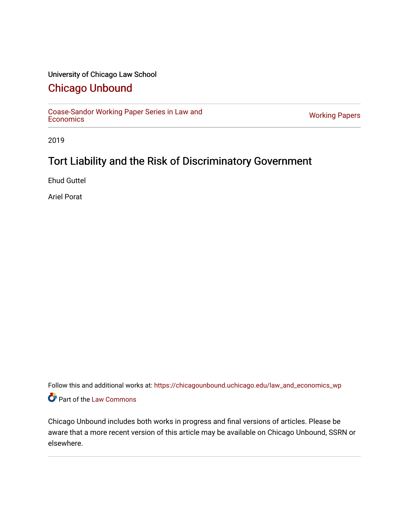# University of Chicago Law School

# [Chicago Unbound](https://chicagounbound.uchicago.edu/)

[Coase-Sandor Working Paper Series in Law and](https://chicagounbound.uchicago.edu/law_and_economics_wp) [Economics](https://chicagounbound.uchicago.edu/law_and_economics_wp) [Working Papers](https://chicagounbound.uchicago.edu/working_papers) 

2019

# Tort Liability and the Risk of Discriminatory Government

Ehud Guttel

Ariel Porat

Follow this and additional works at: [https://chicagounbound.uchicago.edu/law\\_and\\_economics\\_wp](https://chicagounbound.uchicago.edu/law_and_economics_wp?utm_source=chicagounbound.uchicago.edu%2Flaw_and_economics_wp%2F64&utm_medium=PDF&utm_campaign=PDFCoverPages)  Part of the [Law Commons](http://network.bepress.com/hgg/discipline/578?utm_source=chicagounbound.uchicago.edu%2Flaw_and_economics_wp%2F64&utm_medium=PDF&utm_campaign=PDFCoverPages)

Chicago Unbound includes both works in progress and final versions of articles. Please be aware that a more recent version of this article may be available on Chicago Unbound, SSRN or elsewhere.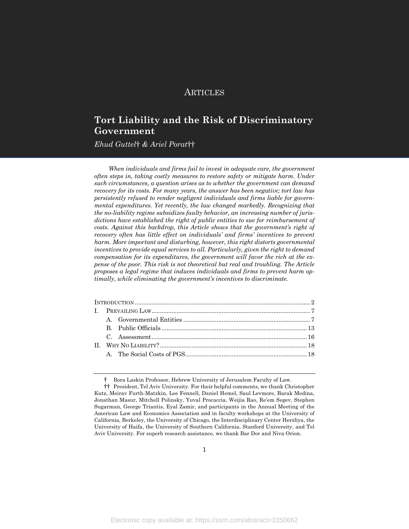# **ARTICLES**

# **Tort Liability and the Risk of Discriminatory Government**

*Ehud Guttel*† *& Ariel Porat*††

*When individuals and firms fail to invest in adequate care, the government often steps in, taking costly measures to restore safety or mitigate harm. Under such circumstances, a question arises as to whether the government can demand recovery for its costs. For many years, the answer has been negative; tort law has persistently refused to render negligent individuals and firms liable for governmental expenditures. Yet recently, the law changed markedly. Recognizing that the no-liability regime subsidizes faulty behavior, an increasing number of jurisdictions have established the right of public entities to sue for reimbursement of costs. Against this backdrop, this Article shows that the government's right of recovery often has little effect on individuals' and firms' incentives to prevent harm. More important and disturbing, however, this right distorts governmental incentives to provide equal services to all. Particularly, given the right to demand compensation for its expenditures, the government will favor the rich at the expense of the poor. This risk is not theoretical but real and troubling. The Article proposes a legal regime that induces individuals and firms to prevent harm optimally, while eliminating the government's incentives to discriminate.*

<sup>†</sup> Bora Laskin Professor, Hebrew University of Jerusalem Faculty of Law.

<sup>††</sup> President, Tel Aviv University. For their helpful comments, we thank Christopher Kutz, Meirav Furth-Matzkin, Lee Fennell, Daniel Hemel, Saul Levmore, Barak Medina, Jonathan Masur, Mitchell Polinsky, Yuval Procaccia, Weijia Rao, Re'em Segev, Stephen Sugarman, George Triantis, Eyal Zamir, and participants in the Annual Meeting of the American Law and Economics Association and in faculty workshops at the University of California, Berkeley, the University of Chicago, the Interdisciplinary Center Herzliya, the University of Haifa, the University of Southern California, Stanford University, and Tel Aviv University. For superb research assistance, we thank Bar Dor and Niva Orion.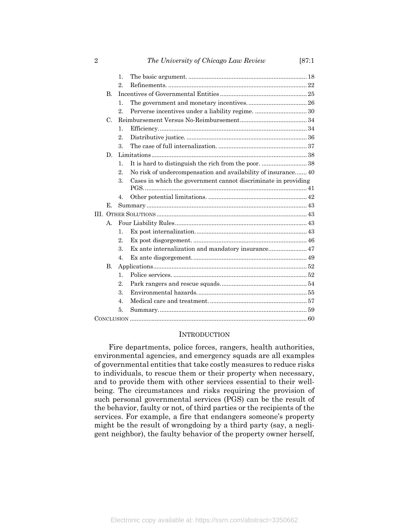|             |              | 1.               |                                                                |  |
|-------------|--------------|------------------|----------------------------------------------------------------|--|
|             |              | $2$ .            |                                                                |  |
|             | $\mathbf{B}$ |                  |                                                                |  |
|             |              | $\mathbf{1}$ .   |                                                                |  |
|             |              | 2.               |                                                                |  |
| $C_{\cdot}$ |              |                  |                                                                |  |
|             |              | $\mathbf{1}$ .   |                                                                |  |
|             |              | $2_{-}$          |                                                                |  |
|             |              | 3.               |                                                                |  |
|             | D.           |                  |                                                                |  |
|             |              | $\mathbf{1}$ .   |                                                                |  |
|             |              | $2_{-}$          | No risk of undercompensation and availability of insurance 40  |  |
|             |              | 3.               | Cases in which the government cannot discriminate in providing |  |
|             |              |                  |                                                                |  |
|             |              | 4.               |                                                                |  |
|             | Е.           |                  |                                                                |  |
|             |              |                  |                                                                |  |
|             | А.           |                  |                                                                |  |
|             |              | $\mathbf{1}$ .   |                                                                |  |
|             |              | 2.               |                                                                |  |
|             |              | 3.               |                                                                |  |
|             |              | 4.               |                                                                |  |
|             | <b>B.</b>    |                  |                                                                |  |
|             |              | $\mathbf{1}$ .   |                                                                |  |
|             |              | $\overline{2}$ . |                                                                |  |
|             |              | 3.               |                                                                |  |
|             |              | $\overline{4}$ . |                                                                |  |
|             |              | 5.               |                                                                |  |
|             |              |                  |                                                                |  |

## INTRODUCTION

Fire departments, police forces, rangers, health authorities, environmental agencies, and emergency squads are all examples of governmental entities that take costly measures to reduce risks to individuals, to rescue them or their property when necessary, and to provide them with other services essential to their wellbeing. The circumstances and risks requiring the provision of such personal governmental services (PGS) can be the result of the behavior, faulty or not, of third parties or the recipients of the services. For example, a fire that endangers someone's property might be the result of wrongdoing by a third party (say, a negligent neighbor), the faulty behavior of the property owner herself,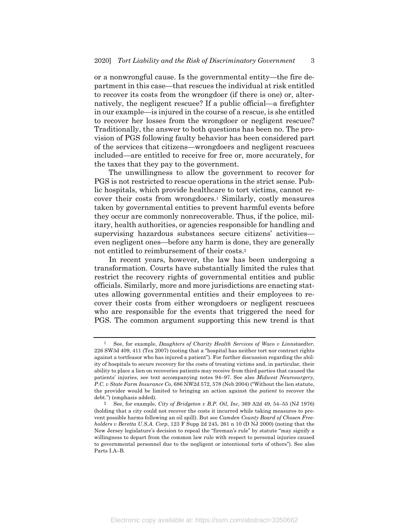or a nonwrongful cause. Is the governmental entity—the fire department in this case—that rescues the individual at risk entitled to recover its costs from the wrongdoer (if there is one) or, alternatively, the negligent rescuee? If a public official—a firefighter in our example—is injured in the course of a rescue, is she entitled to recover her losses from the wrongdoer or negligent rescuee? Traditionally, the answer to both questions has been no. The provision of PGS following faulty behavior has been considered part of the services that citizens—wrongdoers and negligent rescuees included—are entitled to receive for free or, more accurately, for the taxes that they pay to the government.

The unwillingness to allow the government to recover for PGS is not restricted to rescue operations in the strict sense. Public hospitals, which provide healthcare to tort victims, cannot recover their costs from wrongdoers.1 Similarly, costly measures taken by governmental entities to prevent harmful events before they occur are commonly nonrecoverable. Thus, if the police, military, health authorities, or agencies responsible for handling and supervising hazardous substances secure citizens' activities even negligent ones—before any harm is done, they are generally not entitled to reimbursement of their costs.2

In recent years, however, the law has been undergoing a transformation. Courts have substantially limited the rules that restrict the recovery rights of governmental entities and public officials. Similarly, more and more jurisdictions are enacting statutes allowing governmental entities and their employees to recover their costs from either wrongdoers or negligent rescuees who are responsible for the events that triggered the need for PGS. The common argument supporting this new trend is that

<sup>1</sup> See, for example, *Daughters of Charity Health Services of Waco v Linnstaedter*, 226 SW3d 409, 411 (Tex 2007) (noting that a "hospital has neither tort nor contract rights against a tortfeasor who has injured a patient"). For further discussion regarding the ability of hospitals to secure recovery for the costs of treating victims and, in particular, their ability to place a lien on recoveries patients may receive from third parties that caused the patients' injuries, see text accompanying notes 94–97. See also *Midwest Neurosurgery, P.C. v State Farm Insurance Co*, 686 NW2d 572, 578 (Neb 2004) ("Without the lien statute, the provider would be limited to bringing an action against the *patient* to recover the debt.") (emphasis added).

<sup>2</sup> See, for example, *City of Bridgeton v B.P. Oil, Inc*, 369 A2d 49, 54–55 (NJ 1976) (holding that a city could not recover the costs it incurred while taking measures to prevent possible harms following an oil spill). But see *Camden County Board of Chosen Freeholders v Beretta U.S.A. Corp*, 123 F Supp 2d 245, 261 n 10 (D NJ 2000) (noting that the New Jersey legislature's decision to repeal the "fireman's rule" by statute "may signify a willingness to depart from the common law rule with respect to personal injuries caused to governmental personnel due to the negligent or intentional torts of others"). See also Parts I.A–B.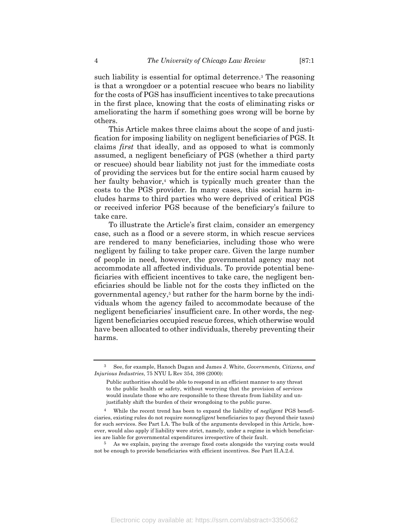such liability is essential for optimal deterrence.3 The reasoning is that a wrongdoer or a potential rescuee who bears no liability for the costs of PGS has insufficient incentives to take precautions in the first place, knowing that the costs of eliminating risks or ameliorating the harm if something goes wrong will be borne by others.

This Article makes three claims about the scope of and justification for imposing liability on negligent beneficiaries of PGS. It claims *first* that ideally, and as opposed to what is commonly assumed, a negligent beneficiary of PGS (whether a third party or rescuee) should bear liability not just for the immediate costs of providing the services but for the entire social harm caused by her faulty behavior,<sup>4</sup> which is typically much greater than the costs to the PGS provider. In many cases, this social harm includes harms to third parties who were deprived of critical PGS or received inferior PGS because of the beneficiary's failure to take care.

To illustrate the Article's first claim, consider an emergency case, such as a flood or a severe storm, in which rescue services are rendered to many beneficiaries, including those who were negligent by failing to take proper care. Given the large number of people in need, however, the governmental agency may not accommodate all affected individuals. To provide potential beneficiaries with efficient incentives to take care, the negligent beneficiaries should be liable not for the costs they inflicted on the governmental agency,5 but rather for the harm borne by the individuals whom the agency failed to accommodate because of the negligent beneficiaries' insufficient care. In other words, the negligent beneficiaries occupied rescue forces, which otherwise would have been allocated to other individuals, thereby preventing their harms.

<sup>3</sup> See, for example, Hanoch Dagan and James J. White, *Governments, Citizens, and Injurious Industries*, 75 NYU L Rev 354, 398 (2000):

Public authorities should be able to respond in an efficient manner to any threat to the public health or safety, without worrying that the provision of services would insulate those who are responsible to these threats from liability and unjustifiably shift the burden of their wrongdoing to the public purse.

<sup>4</sup> While the recent trend has been to expand the liability of *negligent* PGS beneficiaries, existing rules do not require *nonnegligent* beneficiaries to pay (beyond their taxes) for such services. See Part I.A. The bulk of the arguments developed in this Article, however, would also apply if liability were strict, namely, under a regime in which beneficiaries are liable for governmental expenditures irrespective of their fault.

<sup>5</sup> As we explain, paying the average fixed costs alongside the varying costs would not be enough to provide beneficiaries with efficient incentives. See Part II.A.2.d.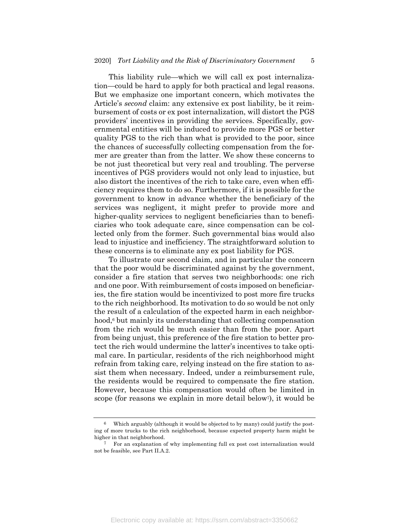This liability rule—which we will call ex post internalization—could be hard to apply for both practical and legal reasons. But we emphasize one important concern, which motivates the Article's *second* claim: any extensive ex post liability, be it reimbursement of costs or ex post internalization, will distort the PGS providers' incentives in providing the services. Specifically, governmental entities will be induced to provide more PGS or better quality PGS to the rich than what is provided to the poor, since the chances of successfully collecting compensation from the former are greater than from the latter. We show these concerns to be not just theoretical but very real and troubling. The perverse incentives of PGS providers would not only lead to injustice, but also distort the incentives of the rich to take care, even when efficiency requires them to do so. Furthermore, if it is possible for the government to know in advance whether the beneficiary of the services was negligent, it might prefer to provide more and higher-quality services to negligent beneficiaries than to beneficiaries who took adequate care, since compensation can be collected only from the former. Such governmental bias would also lead to injustice and inefficiency. The straightforward solution to these concerns is to eliminate any ex post liability for PGS.

To illustrate our second claim, and in particular the concern that the poor would be discriminated against by the government, consider a fire station that serves two neighborhoods: one rich and one poor. With reimbursement of costs imposed on beneficiaries, the fire station would be incentivized to post more fire trucks to the rich neighborhood. Its motivation to do so would be not only the result of a calculation of the expected harm in each neighborhood,<sup>6</sup> but mainly its understanding that collecting compensation from the rich would be much easier than from the poor. Apart from being unjust, this preference of the fire station to better protect the rich would undermine the latter's incentives to take optimal care. In particular, residents of the rich neighborhood might refrain from taking care, relying instead on the fire station to assist them when necessary. Indeed, under a reimbursement rule, the residents would be required to compensate the fire station. However, because this compensation would often be limited in scope (for reasons we explain in more detail below<sup>7</sup>), it would be

Which arguably (although it would be objected to by many) could justify the posting of more trucks to the rich neighborhood, because expected property harm might be higher in that neighborhood.

<sup>7</sup> For an explanation of why implementing full ex post cost internalization would not be feasible, see Part II.A.2.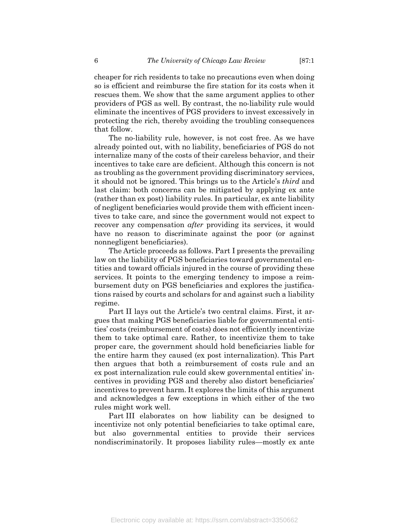cheaper for rich residents to take no precautions even when doing so is efficient and reimburse the fire station for its costs when it rescues them. We show that the same argument applies to other providers of PGS as well. By contrast, the no-liability rule would eliminate the incentives of PGS providers to invest excessively in protecting the rich, thereby avoiding the troubling consequences that follow.

The no-liability rule, however, is not cost free. As we have already pointed out, with no liability, beneficiaries of PGS do not internalize many of the costs of their careless behavior, and their incentives to take care are deficient. Although this concern is not as troubling as the government providing discriminatory services, it should not be ignored. This brings us to the Article's *third* and last claim: both concerns can be mitigated by applying ex ante (rather than ex post) liability rules. In particular, ex ante liability of negligent beneficiaries would provide them with efficient incentives to take care, and since the government would not expect to recover any compensation *after* providing its services, it would have no reason to discriminate against the poor (or against nonnegligent beneficiaries).

The Article proceeds as follows. Part I presents the prevailing law on the liability of PGS beneficiaries toward governmental entities and toward officials injured in the course of providing these services. It points to the emerging tendency to impose a reimbursement duty on PGS beneficiaries and explores the justifications raised by courts and scholars for and against such a liability regime.

Part II lays out the Article's two central claims. First, it argues that making PGS beneficiaries liable for governmental entities' costs (reimbursement of costs) does not efficiently incentivize them to take optimal care. Rather, to incentivize them to take proper care, the government should hold beneficiaries liable for the entire harm they caused (ex post internalization). This Part then argues that both a reimbursement of costs rule and an ex post internalization rule could skew governmental entities' incentives in providing PGS and thereby also distort beneficiaries' incentives to prevent harm. It explores the limits of this argument and acknowledges a few exceptions in which either of the two rules might work well.

Part III elaborates on how liability can be designed to incentivize not only potential beneficiaries to take optimal care, but also governmental entities to provide their services nondiscriminatorily. It proposes liability rules—mostly ex ante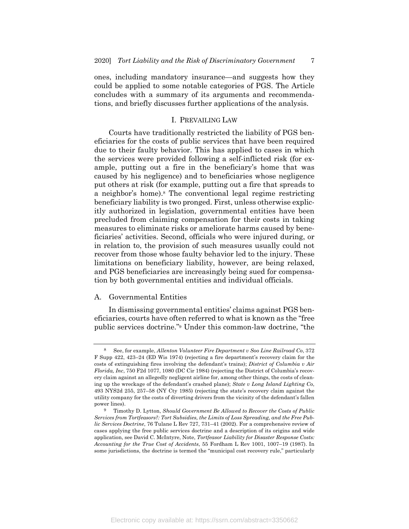ones, including mandatory insurance—and suggests how they could be applied to some notable categories of PGS. The Article concludes with a summary of its arguments and recommendations, and briefly discusses further applications of the analysis.

#### I. PREVAILING LAW

Courts have traditionally restricted the liability of PGS beneficiaries for the costs of public services that have been required due to their faulty behavior. This has applied to cases in which the services were provided following a self-inflicted risk (for example, putting out a fire in the beneficiary's home that was caused by his negligence) and to beneficiaries whose negligence put others at risk (for example, putting out a fire that spreads to a neighbor's home).8 The conventional legal regime restricting beneficiary liability is two pronged. First, unless otherwise explicitly authorized in legislation, governmental entities have been precluded from claiming compensation for their costs in taking measures to eliminate risks or ameliorate harms caused by beneficiaries' activities. Second, officials who were injured during, or in relation to, the provision of such measures usually could not recover from those whose faulty behavior led to the injury. These limitations on beneficiary liability, however, are being relaxed, and PGS beneficiaries are increasingly being sued for compensation by both governmental entities and individual officials.

#### A. Governmental Entities

In dismissing governmental entities' claims against PGS beneficiaries, courts have often referred to what is known as the "free public services doctrine."9 Under this common-law doctrine, "the

<sup>8</sup> See, for example, *Allenton Volunteer Fire Department v Soo Line Railroad Co*, 372 F Supp 422, 423–24 (ED Wis 1974) (rejecting a fire department's recovery claim for the costs of extinguishing fires involving the defendant's trains); *District of Columbia v Air Florida, Inc*, 750 F2d 1077, 1080 (DC Cir 1984) (rejecting the District of Columbia's recovery claim against an allegedly negligent airline for, among other things, the costs of cleaning up the wreckage of the defendant's crashed plane); *State v Long Island Lighting Co*, 493 NYS2d 255, 257–58 (NY Cty 1985) (rejecting the state's recovery claim against the utility company for the costs of diverting drivers from the vicinity of the defendant's fallen power lines).

<sup>9</sup> Timothy D. Lytton, *Should Government Be Allowed to Recover the Costs of Public Services from Tortfeasors?: Tort Subsidies, the Limits of Loss Spreading, and the Free Public Services Doctrine*, 76 Tulane L Rev 727, 731–41 (2002). For a comprehensive review of cases applying the free public services doctrine and a description of its origins and wide application, see David C. McIntyre, Note, *Tortfeasor Liability for Disaster Response Costs: Accounting for the True Cost of Accidents*, 55 Fordham L Rev 1001, 1007–19 (1987). In some jurisdictions, the doctrine is termed the "municipal cost recovery rule," particularly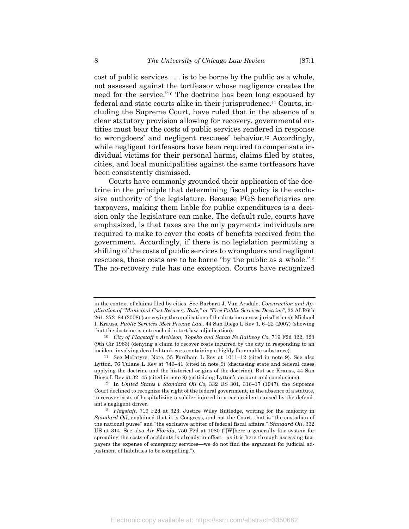cost of public services . . . is to be borne by the public as a whole, not assessed against the tortfeasor whose negligence creates the need for the service."10 The doctrine has been long espoused by federal and state courts alike in their jurisprudence.11 Courts, including the Supreme Court, have ruled that in the absence of a clear statutory provision allowing for recovery, governmental entities must bear the costs of public services rendered in response to wrongdoers' and negligent rescuees' behavior.12 Accordingly, while negligent tortfeasors have been required to compensate individual victims for their personal harms, claims filed by states, cities, and local municipalities against the same tortfeasors have been consistently dismissed.

Courts have commonly grounded their application of the doctrine in the principle that determining fiscal policy is the exclusive authority of the legislature. Because PGS beneficiaries are taxpayers, making them liable for public expenditures is a decision only the legislature can make. The default rule, courts have emphasized, is that taxes are the only payments individuals are required to make to cover the costs of benefits received from the government. Accordingly, if there is no legislation permitting a shifting of the costs of public services to wrongdoers and negligent rescuees, those costs are to be borne "by the public as a whole."13 The no-recovery rule has one exception. Courts have recognized

in the context of claims filed by cities. See Barbara J. Van Arsdale, *Construction and Application of "Municipal Cost Recovery Rule," or "Free Public Services Doctrine"*, 32 ALR6th 261, 272–84 (2008) (surveying the application of the doctrine across jurisdictions); Michael I. Krauss, *Public Services Meet Private Law*, 44 San Diego L Rev 1, 6–22 (2007) (showing that the doctrine is entrenched in tort law adjudication).

<sup>10</sup> *City of Flagstaff v Atchison, Topeka and Santa Fe Railway Co*, 719 F2d 322, 323 (9th Cir 1983) (denying a claim to recover costs incurred by the city in responding to an incident involving derailed tank cars containing a highly flammable substance).

<sup>11</sup> See McIntyre, Note, 55 Fordham L Rev at 1011–12 (cited in note 9). See also Lytton, 76 Tulane L Rev at 740–41 (cited in note 9) (discussing state and federal cases applying the doctrine and the historical origins of the doctrine). But see Krauss, 44 San Diego L Rev at 32–45 (cited in note 9) (criticizing Lytton's account and conclusions).

<sup>12</sup> In *United States v Standard Oil Co,* 332 US 301, 316–17 (1947), the Supreme Court declined to recognize the right of the federal government, in the absence of a statute, to recover costs of hospitalizing a soldier injured in a car accident caused by the defendant's negligent driver.

<sup>13</sup> *Flagstaff*, 719 F2d at 323. Justice Wiley Rutledge, writing for the majority in *Standard Oil*, explained that it is Congress, and not the Court, that is "the custodian of the national purse" and "the exclusive arbiter of federal fiscal affairs." *Standard Oil*, 332 US at 314. See also *Air Florida*, 750 F2d at 1080 ("[W]here a generally fair system for spreading the costs of accidents is already in effect—as it is here through assessing taxpayers the expense of emergency services—we do not find the argument for judicial adjustment of liabilities to be compelling.").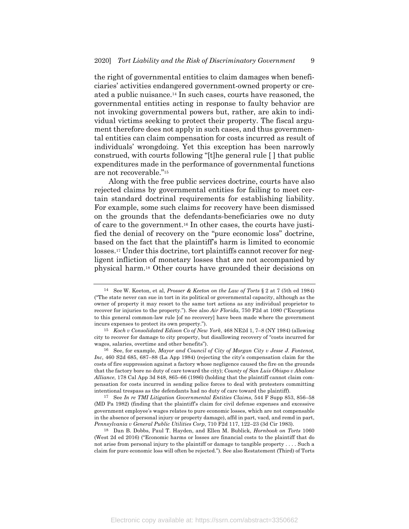the right of governmental entities to claim damages when beneficiaries' activities endangered government-owned property or created a public nuisance.14 In such cases, courts have reasoned, the governmental entities acting in response to faulty behavior are not invoking governmental powers but, rather, are akin to individual victims seeking to protect their property. The fiscal argument therefore does not apply in such cases, and thus governmental entities can claim compensation for costs incurred as result of individuals' wrongdoing. Yet this exception has been narrowly construed, with courts following "[t]he general rule [ ] that public expenditures made in the performance of governmental functions are not recoverable."15

Along with the free public services doctrine, courts have also rejected claims by governmental entities for failing to meet certain standard doctrinal requirements for establishing liability. For example, some such claims for recovery have been dismissed on the grounds that the defendants-beneficiaries owe no duty of care to the government.16 In other cases, the courts have justified the denial of recovery on the "pure economic loss" doctrine, based on the fact that the plaintiff's harm is limited to economic losses.17 Under this doctrine, tort plaintiffs cannot recover for negligent infliction of monetary losses that are not accompanied by physical harm.18 Other courts have grounded their decisions on

<sup>14</sup> See W. Keeton, et al, *Prosser & Keeton on the Law of Torts* § 2 at 7 (5th ed 1984) ("The state never can sue in tort in its political or governmental capacity, although as the owner of property it may resort to the same tort actions as any individual proprietor to recover for injuries to the property."). See also *Air Florida*, 750 F2d at 1080 ("Exceptions to this general common-law rule [of no recovery] have been made where the government incurs expenses to protect its own property.").

<sup>15</sup> *Koch v Consolidated Edison Co of New York*, 468 NE2d 1, 7–8 (NY 1984) (allowing city to recover for damage to city property, but disallowing recovery of "costs incurred for wages, salaries, overtime and other benefits").

<sup>16</sup> See, for example, *Mayor and Council of City of Morgan City v Jesse J. Fontenot, Inc*, 460 S2d 685, 687–88 (La App 1984) (rejecting the city's compensation claim for the costs of fire suppression against a factory whose negligence caused the fire on the grounds that the factory bore no duty of care toward the city); *County of San Luis Obispo v Abalone Alliance*, 178 Cal App 3d 848, 865–66 (1986) (holding that the plaintiff cannot claim compensation for costs incurred in sending police forces to deal with protesters committing intentional trespass as the defendants had no duty of care toward the plaintiff).

<sup>17</sup> See *In re TMI Litigation Governmental Entities Claims*, 544 F Supp 853, 856–58 (MD Pa 1982) (finding that the plaintiff's claim for civil defense expenses and excessive government employee's wages relates to pure economic losses, which are not compensable in the absence of personal injury or property damage), affd in part, vacd, and remd in part, *Pennsylvania v General Public Utilities Corp*, 710 F2d 117, 122–23 (3d Cir 1983).

<sup>18</sup> Dan B. Dobbs, Paul T. Hayden, and Ellen M. Bublick, *Hornbook on Torts* 1060 (West 2d ed 2016) ("Economic harms or losses are financial costs to the plaintiff that do not arise from personal injury to the plaintiff or damage to tangible property . . . . Such a claim for pure economic loss will often be rejected."). See also Restatement (Third) of Torts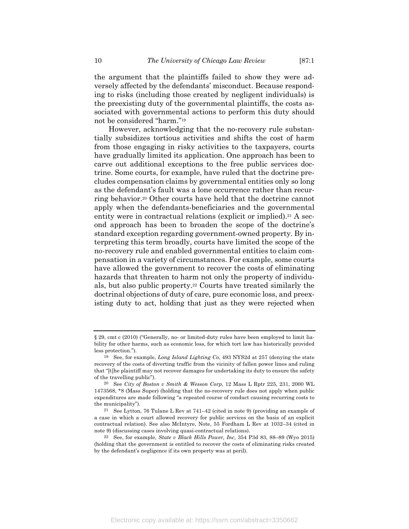the argument that the plaintiffs failed to show they were adversely affected by the defendants' misconduct. Because responding to risks (including those created by negligent individuals) is the preexisting duty of the governmental plaintiffs, the costs associated with governmental actions to perform this duty should not be considered "harm."19

However, acknowledging that the no-recovery rule substantially subsidizes tortious activities and shifts the cost of harm from those engaging in risky activities to the taxpayers, courts have gradually limited its application. One approach has been to carve out additional exceptions to the free public services doctrine. Some courts, for example, have ruled that the doctrine precludes compensation claims by governmental entities only so long as the defendant's fault was a lone occurrence rather than recurring behavior.20 Other courts have held that the doctrine cannot apply when the defendants-beneficiaries and the governmental entity were in contractual relations (explicit or implied).<sup>21</sup> A second approach has been to broaden the scope of the doctrine's standard exception regarding government-owned property. By interpreting this term broadly, courts have limited the scope of the no-recovery rule and enabled governmental entities to claim compensation in a variety of circumstances. For example, some courts have allowed the government to recover the costs of eliminating hazards that threaten to harm not only the property of individuals, but also public property.22 Courts have treated similarly the doctrinal objections of duty of care, pure economic loss, and preexisting duty to act, holding that just as they were rejected when

<sup>§</sup> 29, cmt c (2010) ("Generally, no- or limited-duty rules have been employed to limit liability for other harms, such as economic loss, for which tort law has historically provided less protection.").

<sup>19</sup> See, for example, *Long Island Lighting Co*, 493 NYS2d at 257 (denying the state recovery of the costs of diverting traffic from the vicinity of fallen power lines and ruling that "[t]he plaintiff may not recover damages for undertaking its duty to ensure the safety of the travelling public").

<sup>20</sup> See *City of Boston v Smith & Wesson Corp*, 12 Mass L Rptr 225, 231, 2000 WL 1473568, \*8 (Mass Super) (holding that the no-recovery rule does not apply when public expenditures are made following "a repeated course of conduct causing recurring costs to the municipality").

<sup>21</sup> See Lytton, 76 Tulane L Rev at 741–42 (cited in note 9) (providing an example of a case in which a court allowed recovery for public services on the basis of an explicit contractual relation). See also McIntyre, Note, 55 Fordham L Rev at 1032–34 (cited in note 9) (discussing cases involving quasi-contractual relations).

<sup>22</sup> See, for example, *State v Black Hills Power, Inc*, 354 P3d 83, 88–89 (Wyo 2015) (holding that the government is entitled to recover the costs of eliminating risks created by the defendant's negligence if its own property was at peril).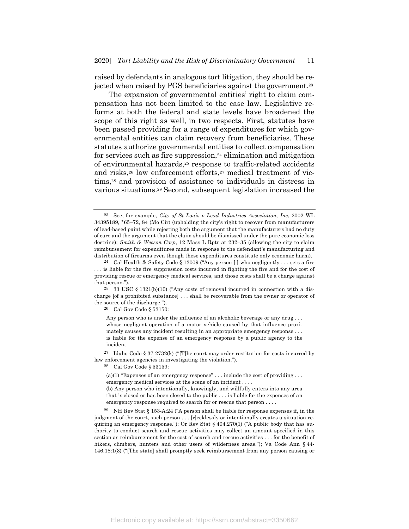raised by defendants in analogous tort litigation, they should be rejected when raised by PGS beneficiaries against the government.23

The expansion of governmental entities' right to claim compensation has not been limited to the case law. Legislative reforms at both the federal and state levels have broadened the scope of this right as well, in two respects. First, statutes have been passed providing for a range of expenditures for which governmental entities can claim recovery from beneficiaries. These statutes authorize governmental entities to collect compensation for services such as fire suppression, $24$  elimination and mitigation of environmental hazards,25 response to traffic-related accidents and risks,<sup>26</sup> law enforcement efforts,<sup>27</sup> medical treatment of victims,28 and provision of assistance to individuals in distress in various situations.29 Second, subsequent legislation increased the

26 Cal Gov Code § 53150:

Anv person who is under the influence of an alcoholic beverage or any drug . . . whose negligent operation of a motor vehicle caused by that influence proximately causes any incident resulting in an appropriate emergency response . . . is liable for the expense of an emergency response by a public agency to the incident.

27 Idaho Code § 37-2732(k) ("[T]he court may order restitution for costs incurred by law enforcement agencies in investigating the violation.").

28 Cal Gov Code § 53159:

(a)(1) "Expenses of an emergency response" . . . include the cost of providing . . . emergency medical services at the scene of an incident . . . .

(b) Any person who intentionally, knowingly, and willfully enters into any area that is closed or has been closed to the public . . . is liable for the expenses of an emergency response required to search for or rescue that person . . . .

29 NH Rev Stat § 153-A:24 ("A person shall be liable for response expenses if, in the judgment of the court, such person . . . [r]ecklessly or intentionally creates a situation requiring an emergency response."); Or Rev Stat  $\S$  404.270(1) ("A public body that has authority to conduct search and rescue activities may collect an amount specified in this section as reimbursement for the cost of search and rescue activities . . . for the benefit of hikers, climbers, hunters and other users of wilderness areas."); Va Code Ann § 44- 146.18:1(3) ("[The state] shall promptly seek reimbursement from any person causing or

<sup>23</sup> See, for example, *City of St Louis v Lead Industries Association, Inc*, 2002 WL 34395189, \*65–72, 84 (Mo Cir) (upholding the city's right to recover from manufacturers of lead-based paint while rejecting both the argument that the manufacturers had no duty of care and the argument that the claim should be dismissed under the pure economic loss doctrine); *Smith & Wesson Corp*, 12 Mass L Rptr at 232–35 (allowing the city to claim reimbursement for expenditures made in response to the defendant's manufacturing and distribution of firearms even though these expenditures constitute only economic harm).

<sup>24</sup> Cal Health & Safety Code § 13009 ("Any person [ ] who negligently . . . sets a fire . . . is liable for the fire suppression costs incurred in fighting the fire and for the cost of providing rescue or emergency medical services, and those costs shall be a charge against that person.").

 $25$  33 USC § 1321(b)(10) ("Any costs of removal incurred in connection with a discharge [of a prohibited substance] . . . shall be recoverable from the owner or operator of the source of the discharge.").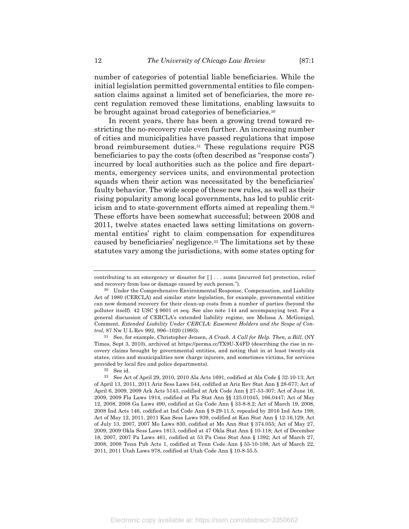number of categories of potential liable beneficiaries. While the initial legislation permitted governmental entities to file compensation claims against a limited set of beneficiaries, the more recent regulation removed these limitations, enabling lawsuits to be brought against broad categories of beneficiaries.30

In recent years, there has been a growing trend toward restricting the no-recovery rule even further. An increasing number of cities and municipalities have passed regulations that impose broad reimbursement duties.31 These regulations require PGS beneficiaries to pay the costs (often described as "response costs") incurred by local authorities such as the police and fire departments, emergency services units, and environmental protection squads when their action was necessitated by the beneficiaries' faulty behavior. The wide scope of these new rules, as well as their rising popularity among local governments, has led to public criticism and to state-government efforts aimed at repealing them.32 These efforts have been somewhat successful; between 2008 and 2011, twelve states enacted laws setting limitations on governmental entities' right to claim compensation for expenditures caused by beneficiaries' negligence.33 The limitations set by these statutes vary among the jurisdictions, with some states opting for

31 See, for example, Christopher Jensen, *A Crash. A Call for Help. Then, a Bill.* (NY Times, Sept 3, 2010), archived at https://perma.cc/TX9U-X4FD (describing the rise in recovery claims brought by governmental entities, and noting that in at least twenty-six states, cities and municipalities now charge injurers, and sometimes victims, for services provided by local fire and police departments).

contributing to an emergency or disaster for [ ] . . . sums [incurred for] protection, relief and recovery from loss or damage caused by such person.").

<sup>30</sup> Under the Comprehensive Environmental Response, Compensation, and Liability Act of 1980 (CERCLA) and similar state legislation, for example, governmental entities can now demand recovery for their clean-up costs from a number of parties (beyond the polluter itself). 42 USC § 9601 et seq. See also note 144 and accompanying text. For a general discussion of CERCLA's extended liability regime, see Melissa A. McGonigal, Comment, *Extended Liability Under CERCLA: Easement Holders and the Scope of Control*, 87 Nw U L Rev 992, 996–1020 (1993).

<sup>32</sup> See id.

<sup>33</sup> See Act of April 29, 2010, 2010 Ala Acts 1691, codified at Ala Code § 32-10-13; Act of April 13, 2011, 2011 Ariz Sess Laws 544, codified at Ariz Rev Stat Ann § 28-677; Act of April 6, 2009, 2009 Ark Acts 5143, codified at Ark Code Ann § 27-53-307; Act of June 16, 2009, 2009 Fla Laws 1914, codified at Fla Stat Ann §§ 125.01045, 166.0447; Act of May 12, 2008, 2008 Ga Laws 490, codified at Ga Code Ann § 33-8-8.2; Act of March 19, 2008, 2008 Ind Acts 146, codified at Ind Code Ann § 9-29-11.5, repealed by 2016 Ind Acts 198; Act of May 12, 2011, 2011 Kan Sess Laws 939, codified at Kan Stat Ann § 12-16,129; Act of July 13, 2007, 2007 Mo Laws 830, codified at Mo Ann Stat § 374.055; Act of May 27, 2009, 2009 Okla Sess Laws 1813, codified at 47 Okla Stat Ann § 10-118; Act of December 18, 2007, 2007 Pa Laws 461, codified at 53 Pa Cons Stat Ann § 1392; Act of March 27, 2008, 2008 Tenn Pub Acts 1, codified at Tenn Code Ann § 55-10-108; Act of March 22, 2011, 2011 Utah Laws 978, codified at Utah Code Ann § 10-8-55.5.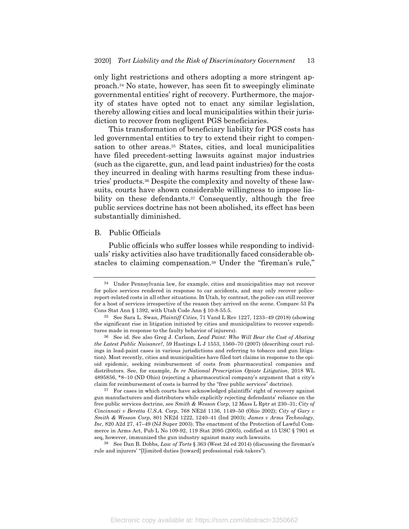only light restrictions and others adopting a more stringent approach.34 No state, however, has seen fit to sweepingly eliminate governmental entities' right of recovery. Furthermore, the majority of states have opted not to enact any similar legislation, thereby allowing cities and local municipalities within their jurisdiction to recover from negligent PGS beneficiaries.

This transformation of beneficiary liability for PGS costs has led governmental entities to try to extend their right to compensation to other areas.<sup>35</sup> States, cities, and local municipalities have filed precedent-setting lawsuits against major industries (such as the cigarette, gun, and lead paint industries) for the costs they incurred in dealing with harms resulting from these industries' products.36 Despite the complexity and novelty of these lawsuits, courts have shown considerable willingness to impose liability on these defendants.<sup>37</sup> Consequently, although the free public services doctrine has not been abolished, its effect has been substantially diminished.

#### B. Public Officials

Public officials who suffer losses while responding to individuals' risky activities also have traditionally faced considerable obstacles to claiming compensation.38 Under the "fireman's rule,"

37 For cases in which courts have acknowledged plaintiffs' right of recovery against gun manufacturers and distributors while explicitly rejecting defendants' reliance on the free public services doctrine, see *Smith & Wesson Corp*, 12 Mass L Rptr at 230–31; *City of Cincinnati v Beretta U.S.A. Corp*, 768 NE2d 1136, 1149–50 (Ohio 2002); *City of Gary v Smith & Wesson Corp*, 801 NE2d 1222, 1240–41 (Ind 2003); *James v Arms Technology, Inc*, 820 A2d 27, 47–49 (NJ Super 2003). The enactment of the Protection of Lawful Commerce in Arms Act, Pub L No 109-92, 119 Stat 2095 (2005), codified at 15 USC § 7901 et seq, however, immunized the gun industry against many such lawsuits.

38 See Dan B. Dobbs, *Law of Torts* § 363 (West 2d ed 2014) (discussing the fireman's rule and injurers' "[l]imited duties [toward] professional risk-takers").

<sup>34</sup> Under Pennsylvania law, for example, cities and municipalities may not recover for police services rendered in response to car accidents, and may only recover policereport-related costs in all other situations. In Utah, by contrast, the police can still recover for a host of services irrespective of the reason they arrived on the scene. Compare 53 Pa Cons Stat Ann § 1392, with Utah Code Ann § 10-8-55.5.

<sup>35</sup> See Sara L. Swan, *Plaintiff Cities*, 71 Vand L Rev 1227, 1233–49 (2018) (showing the significant rise in litigation initiated by cities and municipalities to recover expenditures made in response to the faulty behavior of injurers).

<sup>36</sup> See id. See also Greg J. Carlson, *Lead Paint: Who Will Bear the Cost of Abating the Latest Public Nuisance?*, 59 Hastings L J 1553, 1560–70 (2007) (describing court rulings in lead-paint cases in various jurisdictions and referring to tobacco and gun litigation). Most recently, cities and municipalities have filed tort claims in response to the opioid epidemic, seeking reimbursement of costs from pharmaceutical companies and distributors. See, for example, *In re National Prescription Opiate Litigation*, 2018 WL 4895856, \*8–10 (ND Ohio) (rejecting a pharmaceutical company's argument that a city's claim for reimbursement of costs is barred by the "free public services" doctrine).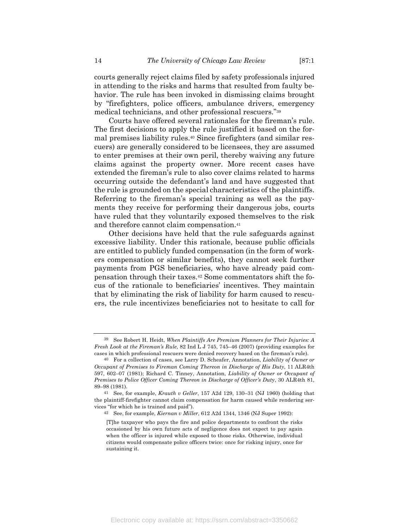courts generally reject claims filed by safety professionals injured in attending to the risks and harms that resulted from faulty behavior. The rule has been invoked in dismissing claims brought by "firefighters, police officers, ambulance drivers, emergency medical technicians, and other professional rescuers."39

Courts have offered several rationales for the fireman's rule. The first decisions to apply the rule justified it based on the formal premises liability rules.40 Since firefighters (and similar rescuers) are generally considered to be licensees, they are assumed to enter premises at their own peril, thereby waiving any future claims against the property owner. More recent cases have extended the fireman's rule to also cover claims related to harms occurring outside the defendant's land and have suggested that the rule is grounded on the special characteristics of the plaintiffs. Referring to the fireman's special training as well as the payments they receive for performing their dangerous jobs, courts have ruled that they voluntarily exposed themselves to the risk and therefore cannot claim compensation.41

Other decisions have held that the rule safeguards against excessive liability. Under this rationale, because public officials are entitled to publicly funded compensation (in the form of workers compensation or similar benefits), they cannot seek further payments from PGS beneficiaries, who have already paid compensation through their taxes.42 Some commentators shift the focus of the rationale to beneficiaries' incentives. They maintain that by eliminating the risk of liability for harm caused to rescuers, the rule incentivizes beneficiaries not to hesitate to call for

<sup>39</sup> See Robert H. Heidt, *When Plaintiffs Are Premium Planners for Their Injuries: A Fresh Look at the Fireman's Rule*, 82 Ind L J 745, 745–46 (2007) (providing examples for cases in which professional rescuers were denied recovery based on the fireman's rule).

<sup>40</sup> For a collection of cases, see Larry D. Scheafer, Annotation, *Liability of Owner or Occupant of Premises to Fireman Coming Thereon in Discharge of His Duty*, 11 ALR4th 597, 602–07 (1981); Richard C. Tinney, Annotation, *Liability of Owner or Occupant of Premises to Police Officer Coming Thereon in Discharge of Officer's Dut*y, 30 ALR4th 81, 89–98 (1981).

<sup>41</sup> See, for example, *Krauth v Geller*, 157 A2d 129, 130–31 (NJ 1960) (holding that the plaintiff-firefighter cannot claim compensation for harm caused while rendering services "for which he is trained and paid").

<sup>42</sup> See, for example, *Kiernan v Miller*, 612 A2d 1344, 1346 (NJ Super 1992):

<sup>[</sup>T]he taxpayer who pays the fire and police departments to confront the risks occasioned by his own future acts of negligence does not expect to pay again when the officer is injured while exposed to those risks. Otherwise, individual citizens would compensate police officers twice: once for risking injury, once for sustaining it.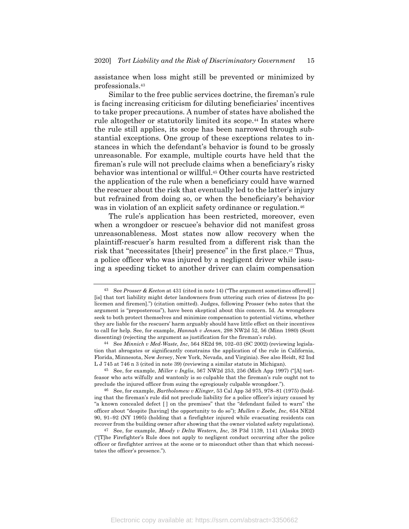assistance when loss might still be prevented or minimized by professionals.43

Similar to the free public services doctrine, the fireman's rule is facing increasing criticism for diluting beneficiaries' incentives to take proper precautions. A number of states have abolished the rule altogether or statutorily limited its scope.<sup>44</sup> In states where the rule still applies, its scope has been narrowed through substantial exceptions. One group of these exceptions relates to instances in which the defendant's behavior is found to be grossly unreasonable. For example, multiple courts have held that the fireman's rule will not preclude claims when a beneficiary's risky behavior was intentional or willful.45 Other courts have restricted the application of the rule when a beneficiary could have warned the rescuer about the risk that eventually led to the latter's injury but refrained from doing so, or when the beneficiary's behavior was in violation of an explicit safety ordinance or regulation.<sup>46</sup>

The rule's application has been restricted, moreover, even when a wrongdoer or rescuee's behavior did not manifest gross unreasonableness. Most states now allow recovery when the plaintiff-rescuer's harm resulted from a different risk than the risk that "necessitates [their] presence" in the first place.<sup>47</sup> Thus, a police officer who was injured by a negligent driver while issuing a speeding ticket to another driver can claim compensation

44 See *Minnich v Med-Waste, Inc*, 564 SE2d 98, 102–03 (SC 2002) (reviewing legislation that abrogates or significantly constrains the application of the rule in California, Florida, Minnesota, New Jersey, New York, Nevada, and Virginia). See also Heidt, 82 Ind L J 745 at 746 n 3 (cited in note 39) (reviewing a similar statute in Michigan).

<sup>43</sup> See *Prosser & Keeton* at 431 (cited in note 14) ("The argument sometimes offered[ ] [is] that tort liability might deter landowners from uttering such cries of distress [to policemen and firemen].") (citation omitted). Judges, following Prosser (who notes that the argument is "preposterous"), have been skeptical about this concern. Id. As wrongdoers seek to both protect themselves and minimize compensation to potential victims, whether they are liable for the rescuers' harm arguably should have little effect on their incentives to call for help. See, for example, *Hannah v Jensen*, 298 NW2d 52, 56 (Minn 1980) (Scott dissenting) (rejecting the argument as justification for the fireman's rule).

<sup>45</sup> See, for example, *Miller v Inglis*, 567 NW2d 253, 256 (Mich App 1997) ("[A] tortfeasor who acts wilfully and wantonly is so culpable that the fireman's rule ought not to preclude the injured officer from suing the egregiously culpable wrongdoer.").

<sup>46</sup> See, for example, *Bartholomew v Klinger*, 53 Cal App 3d 975, 978–81 (1975) (holding that the fireman's rule did not preclude liability for a police officer's injury caused by "a known concealed defect [ ] on the premises" that the "defendant failed to warn" the officer about "despite [having] the opportunity to do so"); *Mullen v Zoebe, Inc*, 654 NE2d 90, 91–92 (NY 1995) (holding that a firefighter injured while evacuating residents can recover from the building owner after showing that the owner violated safety regulations).

<sup>47</sup> See, for example, *Moody v Delta Western, Inc*, 38 P3d 1139, 1141 (Alaska 2002) ("[T]he Firefighter's Rule does not apply to negligent conduct occurring after the police officer or firefighter arrives at the scene or to misconduct other than that which necessitates the officer's presence.").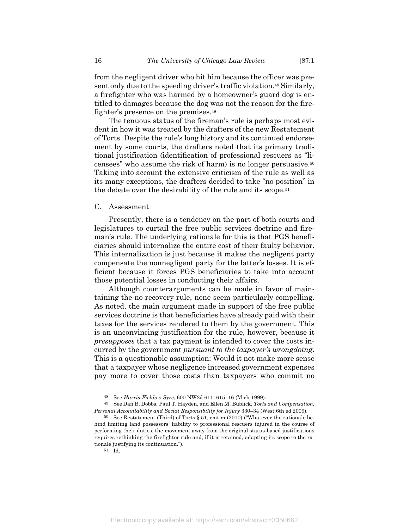from the negligent driver who hit him because the officer was present only due to the speeding driver's traffic violation.48 Similarly, a firefighter who was harmed by a homeowner's guard dog is entitled to damages because the dog was not the reason for the firefighter's presence on the premises.49

The tenuous status of the fireman's rule is perhaps most evident in how it was treated by the drafters of the new Restatement of Torts. Despite the rule's long history and its continued endorsement by some courts, the drafters noted that its primary traditional justification (identification of professional rescuers as "licensees" who assume the risk of harm) is no longer persuasive.50 Taking into account the extensive criticism of the rule as well as its many exceptions, the drafters decided to take "no position" in the debate over the desirability of the rule and its scope.51

#### C. Assessment

Presently, there is a tendency on the part of both courts and legislatures to curtail the free public services doctrine and fireman's rule. The underlying rationale for this is that PGS beneficiaries should internalize the entire cost of their faulty behavior. This internalization is just because it makes the negligent party compensate the nonnegligent party for the latter's losses. It is efficient because it forces PGS beneficiaries to take into account those potential losses in conducting their affairs.

Although counterarguments can be made in favor of maintaining the no-recovery rule, none seem particularly compelling. As noted, the main argument made in support of the free public services doctrine is that beneficiaries have already paid with their taxes for the services rendered to them by the government. This is an unconvincing justification for the rule, however, because it *presupposes* that a tax payment is intended to cover the costs incurred by the government *pursuant to the taxpayer's wrongdoing*. This is a questionable assumption: Would it not make more sense that a taxpayer whose negligence increased government expenses pay more to cover those costs than taxpayers who commit no

<sup>48</sup> See *Harris-Fields v Syze*, 600 NW2d 611, 615–16 (Mich 1999).

<sup>49</sup> See Dan B. Dobbs, Paul T. Hayden, and Ellen M. Bublick, *Torts and Compensation: Personal Accountability and Social Responsibility for Injury* 330–34 (West 6th ed 2009).

<sup>50</sup> See Restatement (Third) of Torts § 51, cmt m (2010) ("Whatever the rationale behind limiting land possessors' liability to professional rescuers injured in the course of performing their duties, the movement away from the original status-based justifications requires rethinking the firefighter rule and, if it is retained, adapting its scope to the rationale justifying its continuation.").

<sup>51</sup> Id.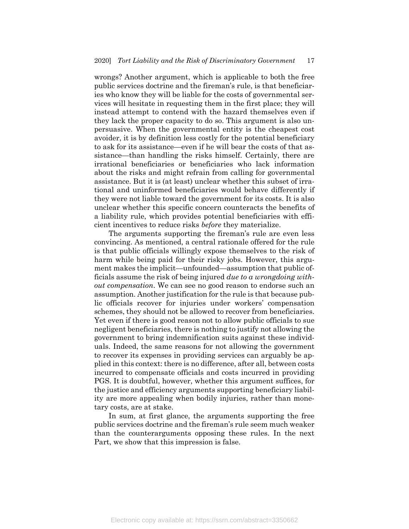wrongs? Another argument, which is applicable to both the free public services doctrine and the fireman's rule, is that beneficiaries who know they will be liable for the costs of governmental services will hesitate in requesting them in the first place; they will instead attempt to contend with the hazard themselves even if they lack the proper capacity to do so. This argument is also unpersuasive. When the governmental entity is the cheapest cost avoider, it is by definition less costly for the potential beneficiary to ask for its assistance—even if he will bear the costs of that assistance—than handling the risks himself. Certainly, there are irrational beneficiaries or beneficiaries who lack information about the risks and might refrain from calling for governmental assistance. But it is (at least) unclear whether this subset of irrational and uninformed beneficiaries would behave differently if they were not liable toward the government for its costs. It is also unclear whether this specific concern counteracts the benefits of a liability rule, which provides potential beneficiaries with efficient incentives to reduce risks *before* they materialize.

The arguments supporting the fireman's rule are even less convincing. As mentioned, a central rationale offered for the rule is that public officials willingly expose themselves to the risk of harm while being paid for their risky jobs. However, this argument makes the implicit—unfounded—assumption that public officials assume the risk of being injured *due to a wrongdoing without compensation*. We can see no good reason to endorse such an assumption. Another justification for the rule is that because public officials recover for injuries under workers' compensation schemes, they should not be allowed to recover from beneficiaries. Yet even if there is good reason not to allow public officials to sue negligent beneficiaries, there is nothing to justify not allowing the government to bring indemnification suits against these individuals. Indeed, the same reasons for not allowing the government to recover its expenses in providing services can arguably be applied in this context: there is no difference, after all, between costs incurred to compensate officials and costs incurred in providing PGS. It is doubtful, however, whether this argument suffices, for the justice and efficiency arguments supporting beneficiary liability are more appealing when bodily injuries, rather than monetary costs, are at stake.

In sum, at first glance, the arguments supporting the free public services doctrine and the fireman's rule seem much weaker than the counterarguments opposing these rules. In the next Part, we show that this impression is false.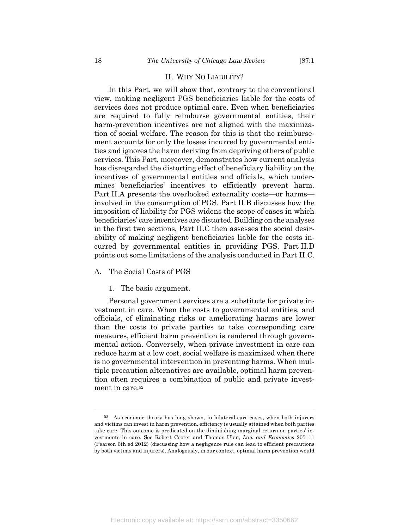#### II. WHY NO LIABILITY?

In this Part, we will show that, contrary to the conventional view, making negligent PGS beneficiaries liable for the costs of services does not produce optimal care. Even when beneficiaries are required to fully reimburse governmental entities, their harm-prevention incentives are not aligned with the maximization of social welfare. The reason for this is that the reimbursement accounts for only the losses incurred by governmental entities and ignores the harm deriving from depriving others of public services. This Part, moreover, demonstrates how current analysis has disregarded the distorting effect of beneficiary liability on the incentives of governmental entities and officials, which undermines beneficiaries' incentives to efficiently prevent harm. Part II.A presents the overlooked externality costs—or harms involved in the consumption of PGS. Part II.B discusses how the imposition of liability for PGS widens the scope of cases in which beneficiaries' care incentives are distorted. Building on the analyses in the first two sections, Part II.C then assesses the social desirability of making negligent beneficiaries liable for the costs incurred by governmental entities in providing PGS. Part II.D points out some limitations of the analysis conducted in Part II.C.

## A. The Social Costs of PGS

#### 1. The basic argument.

Personal government services are a substitute for private investment in care. When the costs to governmental entities, and officials, of eliminating risks or ameliorating harms are lower than the costs to private parties to take corresponding care measures, efficient harm prevention is rendered through governmental action. Conversely, when private investment in care can reduce harm at a low cost, social welfare is maximized when there is no governmental intervention in preventing harms. When multiple precaution alternatives are available, optimal harm prevention often requires a combination of public and private investment in care.52

<sup>52</sup> As economic theory has long shown, in bilateral-care cases, when both injurers and victims can invest in harm prevention, efficiency is usually attained when both parties take care. This outcome is predicated on the diminishing marginal return on parties' investments in care. See Robert Cooter and Thomas Ulen, *Law and Economics* 205–11 (Pearson 6th ed 2012) (discussing how a negligence rule can lead to efficient precautions by both victims and injurers). Analogously, in our context, optimal harm prevention would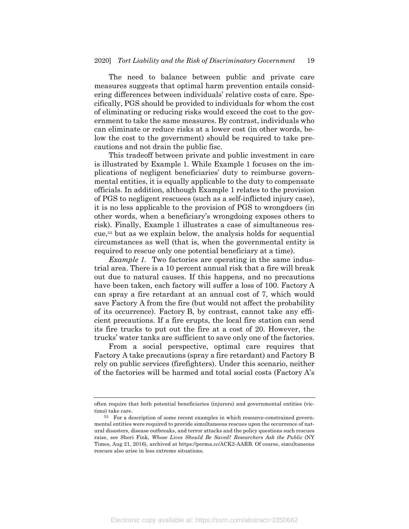The need to balance between public and private care measures suggests that optimal harm prevention entails considering differences between individuals' relative costs of care. Specifically, PGS should be provided to individuals for whom the cost of eliminating or reducing risks would exceed the cost to the government to take the same measures. By contrast, individuals who can eliminate or reduce risks at a lower cost (in other words, below the cost to the government) should be required to take precautions and not drain the public fisc.

This tradeoff between private and public investment in care is illustrated by Example 1. While Example 1 focuses on the implications of negligent beneficiaries' duty to reimburse governmental entities, it is equally applicable to the duty to compensate officials. In addition, although Example 1 relates to the provision of PGS to negligent rescuees (such as a self-inflicted injury case), it is no less applicable to the provision of PGS to wrongdoers (in other words, when a beneficiary's wrongdoing exposes others to risk). Finally, Example 1 illustrates a case of simultaneous rescue,53 but as we explain below, the analysis holds for sequential circumstances as well (that is, when the governmental entity is required to rescue only one potential beneficiary at a time).

*Example 1.* Two factories are operating in the same industrial area. There is a 10 percent annual risk that a fire will break out due to natural causes. If this happens, and no precautions have been taken, each factory will suffer a loss of 100. Factory A can spray a fire retardant at an annual cost of 7, which would save Factory A from the fire (but would not affect the probability of its occurrence). Factory B, by contrast, cannot take any efficient precautions. If a fire erupts, the local fire station can send its fire trucks to put out the fire at a cost of 20. However, the trucks' water tanks are sufficient to save only one of the factories.

From a social perspective, optimal care requires that Factory A take precautions (spray a fire retardant) and Factory B rely on public services (firefighters). Under this scenario, neither of the factories will be harmed and total social costs (Factory A's

often require that both potential beneficiaries (injurers) and governmental entities (victims) take care.

<sup>53</sup> For a description of some recent examples in which resource-constrained governmental entities were required to provide simultaneous rescues upon the occurrence of natural disasters, disease outbreaks, and terror attacks and the policy questions such rescues raise, see Sheri Fink, *Whose Lives Should Be Saved? Researchers Ask the Public* (NY Times, Aug 21, 2016), archived at https://perma.cc/ACK2-AARB. Of course, simultaneous rescues also arise in less extreme situations.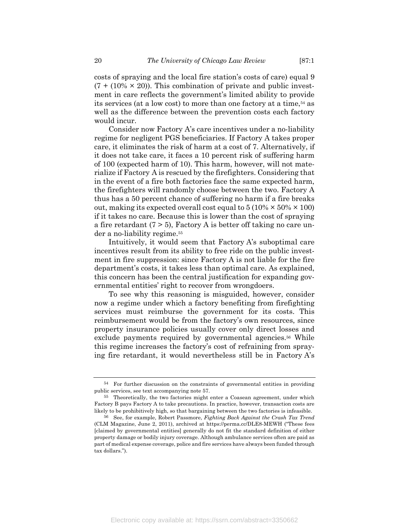costs of spraying and the local fire station's costs of care) equal 9  $(7 + (10\% \times 20))$ . This combination of private and public investment in care reflects the government's limited ability to provide its services (at a low cost) to more than one factory at a time,<sup>54</sup> as well as the difference between the prevention costs each factory would incur.

Consider now Factory A's care incentives under a no-liability regime for negligent PGS beneficiaries. If Factory A takes proper care, it eliminates the risk of harm at a cost of 7. Alternatively, if it does not take care, it faces a 10 percent risk of suffering harm of 100 (expected harm of 10). This harm, however, will not materialize if Factory A is rescued by the firefighters. Considering that in the event of a fire both factories face the same expected harm, the firefighters will randomly choose between the two. Factory A thus has a 50 percent chance of suffering no harm if a fire breaks out, making its expected overall cost equal to  $5(10\% \times 50\% \times 100)$ if it takes no care. Because this is lower than the cost of spraying a fire retardant  $(7 > 5)$ , Factory A is better off taking no care under a no-liability regime.55

Intuitively, it would seem that Factory A's suboptimal care incentives result from its ability to free ride on the public investment in fire suppression: since Factory A is not liable for the fire department's costs, it takes less than optimal care. As explained, this concern has been the central justification for expanding governmental entities' right to recover from wrongdoers.

To see why this reasoning is misguided, however, consider now a regime under which a factory benefiting from firefighting services must reimburse the government for its costs. This reimbursement would be from the factory's own resources, since property insurance policies usually cover only direct losses and exclude payments required by governmental agencies.<sup>56</sup> While this regime increases the factory's cost of refraining from spraying fire retardant, it would nevertheless still be in Factory A's

<sup>54</sup> For further discussion on the constraints of governmental entities in providing public services, see text accompanying note 57.

<sup>55</sup> Theoretically, the two factories might enter a Coasean agreement, under which Factory B pays Factory A to take precautions. In practice, however, transaction costs are likely to be prohibitively high, so that bargaining between the two factories is infeasible.

<sup>56</sup> See, for example, Robert Passmore, *Fighting Back Against the Crash Tax Trend* (CLM Magazine, June 2, 2011), archived at https://perma.cc/DLE8-MEWH ("These fees [claimed by governmental entities] generally do not fit the standard definition of either property damage or bodily injury coverage. Although ambulance services often are paid as part of medical expense coverage, police and fire services have always been funded through tax dollars.").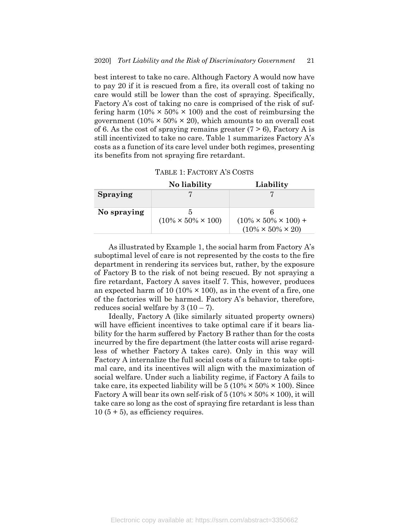best interest to take no care. Although Factory A would now have to pay 20 if it is rescued from a fire, its overall cost of taking no care would still be lower than the cost of spraying. Specifically, Factory A's cost of taking no care is comprised of the risk of suffering harm  $(10\% \times 50\% \times 100)$  and the cost of reimbursing the government (10%  $\times$  50%  $\times$  20), which amounts to an overall cost of 6. As the cost of spraying remains greater  $(7 > 6)$ , Factory A is still incentivized to take no care. Table 1 summarizes Factory A's costs as a function of its care level under both regimes, presenting its benefits from not spraying fire retardant.

|             | No liability                    | Liability                                                           |
|-------------|---------------------------------|---------------------------------------------------------------------|
| Spraying    |                                 |                                                                     |
| No spraying | $(10\% \times 50\% \times 100)$ | $(10\% \times 50\% \times 100) +$<br>$(10\% \times 50\% \times 20)$ |

As illustrated by Example 1, the social harm from Factory A's suboptimal level of care is not represented by the costs to the fire department in rendering its services but, rather, by the exposure of Factory B to the risk of not being rescued. By not spraying a fire retardant, Factory A saves itself 7. This, however, produces an expected harm of 10 (10%  $\times$  100), as in the event of a fire, one of the factories will be harmed. Factory A's behavior, therefore, reduces social welfare by  $3(10-7)$ .

Ideally, Factory A (like similarly situated property owners) will have efficient incentives to take optimal care if it bears liability for the harm suffered by Factory B rather than for the costs incurred by the fire department (the latter costs will arise regardless of whether Factory A takes care). Only in this way will Factory A internalize the full social costs of a failure to take optimal care, and its incentives will align with the maximization of social welfare. Under such a liability regime, if Factory A fails to take care, its expected liability will be  $5 (10\% \times 50\% \times 100)$ . Since Factory A will bear its own self-risk of  $5(10\% \times 50\% \times 100)$ , it will take care so long as the cost of spraying fire retardant is less than  $10 (5 + 5)$ , as efficiency requires.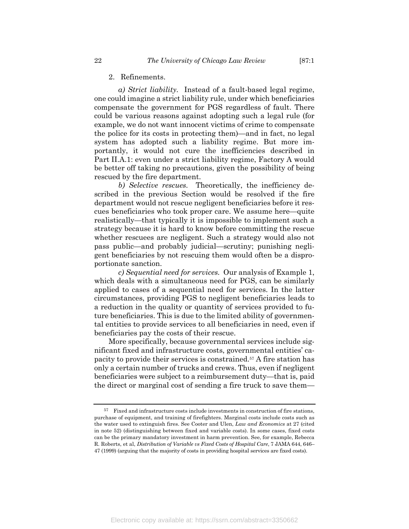2. Refinements.

*a) Strict liability.* Instead of a fault-based legal regime, one could imagine a strict liability rule, under which beneficiaries compensate the government for PGS regardless of fault. There could be various reasons against adopting such a legal rule (for example, we do not want innocent victims of crime to compensate the police for its costs in protecting them)—and in fact, no legal system has adopted such a liability regime. But more importantly, it would not cure the inefficiencies described in Part II.A.1: even under a strict liability regime, Factory A would be better off taking no precautions, given the possibility of being rescued by the fire department.

*b) Selective rescues.* Theoretically, the inefficiency described in the previous Section would be resolved if the fire department would not rescue negligent beneficiaries before it rescues beneficiaries who took proper care. We assume here—quite realistically—that typically it is impossible to implement such a strategy because it is hard to know before committing the rescue whether rescuees are negligent. Such a strategy would also not pass public—and probably judicial—scrutiny; punishing negligent beneficiaries by not rescuing them would often be a disproportionate sanction.

*c) Sequential need for services.* Our analysis of Example 1, which deals with a simultaneous need for PGS, can be similarly applied to cases of a sequential need for services. In the latter circumstances, providing PGS to negligent beneficiaries leads to a reduction in the quality or quantity of services provided to future beneficiaries. This is due to the limited ability of governmental entities to provide services to all beneficiaries in need, even if beneficiaries pay the costs of their rescue.

More specifically, because governmental services include significant fixed and infrastructure costs, governmental entities' capacity to provide their services is constrained.57 A fire station has only a certain number of trucks and crews. Thus, even if negligent beneficiaries were subject to a reimbursement duty—that is, paid the direct or marginal cost of sending a fire truck to save them—

<sup>57</sup> Fixed and infrastructure costs include investments in construction of fire stations, purchase of equipment, and training of firefighters. Marginal costs include costs such as the water used to extinguish fires. See Cooter and Ulen, *Law and Economics* at 27 (cited in note 52) (distinguishing between fixed and variable costs). In some cases, fixed costs can be the primary mandatory investment in harm prevention. See, for example, Rebecca R. Roberts, et al, *Distribution of Variable vs Fixed Costs of Hospital Care*, 7 JAMA 644, 646– 47 (1999) (arguing that the majority of costs in providing hospital services are fixed costs).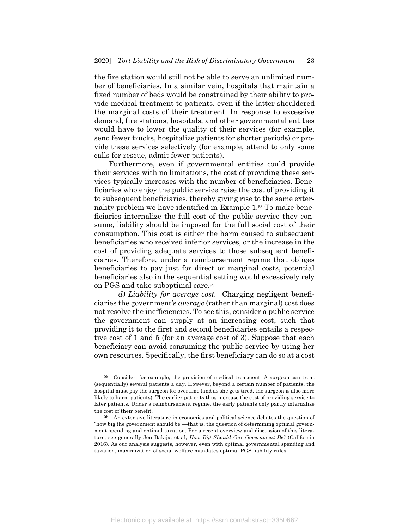the fire station would still not be able to serve an unlimited number of beneficiaries. In a similar vein, hospitals that maintain a fixed number of beds would be constrained by their ability to provide medical treatment to patients, even if the latter shouldered the marginal costs of their treatment. In response to excessive demand, fire stations, hospitals, and other governmental entities would have to lower the quality of their services (for example, send fewer trucks, hospitalize patients for shorter periods) or provide these services selectively (for example, attend to only some calls for rescue, admit fewer patients).

Furthermore, even if governmental entities could provide their services with no limitations, the cost of providing these services typically increases with the number of beneficiaries. Beneficiaries who enjoy the public service raise the cost of providing it to subsequent beneficiaries, thereby giving rise to the same externality problem we have identified in Example 1.58 To make beneficiaries internalize the full cost of the public service they consume, liability should be imposed for the full social cost of their consumption. This cost is either the harm caused to subsequent beneficiaries who received inferior services, or the increase in the cost of providing adequate services to those subsequent beneficiaries. Therefore, under a reimbursement regime that obliges beneficiaries to pay just for direct or marginal costs, potential beneficiaries also in the sequential setting would excessively rely on PGS and take suboptimal care.59

*d) Liability for average cost.* Charging negligent beneficiaries the government's *average* (rather than marginal) cost does not resolve the inefficiencies. To see this, consider a public service the government can supply at an increasing cost, such that providing it to the first and second beneficiaries entails a respective cost of 1 and 5 (for an average cost of 3). Suppose that each beneficiary can avoid consuming the public service by using her own resources. Specifically, the first beneficiary can do so at a cost

<sup>58</sup> Consider, for example, the provision of medical treatment. A surgeon can treat (sequentially) several patients a day. However, beyond a certain number of patients, the hospital must pay the surgeon for overtime (and as she gets tired, the surgeon is also more likely to harm patients). The earlier patients thus increase the cost of providing service to later patients. Under a reimbursement regime, the early patients only partly internalize the cost of their benefit.

<sup>59</sup> An extensive literature in economics and political science debates the question of "how big the government should be"—that is, the question of determining optimal government spending and optimal taxation. For a recent overview and discussion of this literature, see generally Jon Bakija, et al, *How Big Should Our Government Be?* (California 2016). As our analysis suggests, however, even with optimal governmental spending and taxation, maximization of social welfare mandates optimal PGS liability rules.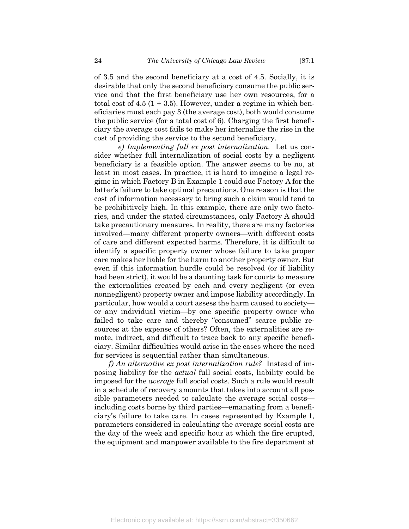of 3.5 and the second beneficiary at a cost of 4.5. Socially, it is desirable that only the second beneficiary consume the public service and that the first beneficiary use her own resources, for a total cost of  $4.5$  (1 + 3.5). However, under a regime in which beneficiaries must each pay 3 (the average cost), both would consume the public service (for a total cost of 6). Charging the first beneficiary the average cost fails to make her internalize the rise in the cost of providing the service to the second beneficiary.

*e) Implementing full ex post internalization.* Let us consider whether full internalization of social costs by a negligent beneficiary is a feasible option. The answer seems to be no, at least in most cases. In practice, it is hard to imagine a legal regime in which Factory B in Example 1 could sue Factory A for the latter's failure to take optimal precautions. One reason is that the cost of information necessary to bring such a claim would tend to be prohibitively high. In this example, there are only two factories, and under the stated circumstances, only Factory A should take precautionary measures. In reality, there are many factories involved—many different property owners—with different costs of care and different expected harms. Therefore, it is difficult to identify a specific property owner whose failure to take proper care makes her liable for the harm to another property owner. But even if this information hurdle could be resolved (or if liability had been strict), it would be a daunting task for courts to measure the externalities created by each and every negligent (or even nonnegligent) property owner and impose liability accordingly. In particular, how would a court assess the harm caused to society or any individual victim—by one specific property owner who failed to take care and thereby "consumed" scarce public resources at the expense of others? Often, the externalities are remote, indirect, and difficult to trace back to any specific beneficiary. Similar difficulties would arise in the cases where the need for services is sequential rather than simultaneous.

*f) An alternative ex post internalization rule?* Instead of imposing liability for the *actual* full social costs, liability could be imposed for the *average* full social costs. Such a rule would result in a schedule of recovery amounts that takes into account all possible parameters needed to calculate the average social costs including costs borne by third parties—emanating from a beneficiary's failure to take care. In cases represented by Example 1, parameters considered in calculating the average social costs are the day of the week and specific hour at which the fire erupted, the equipment and manpower available to the fire department at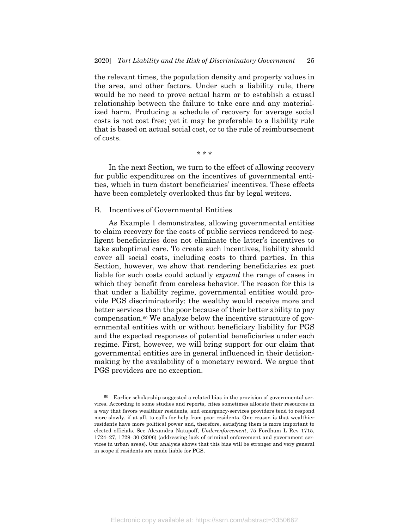the relevant times, the population density and property values in the area, and other factors. Under such a liability rule, there would be no need to prove actual harm or to establish a causal relationship between the failure to take care and any materialized harm. Producing a schedule of recovery for average social costs is not cost free; yet it may be preferable to a liability rule that is based on actual social cost, or to the rule of reimbursement of costs.

\* \* \*

In the next Section, we turn to the effect of allowing recovery for public expenditures on the incentives of governmental entities, which in turn distort beneficiaries' incentives. These effects have been completely overlooked thus far by legal writers.

#### B. Incentives of Governmental Entities

As Example 1 demonstrates, allowing governmental entities to claim recovery for the costs of public services rendered to negligent beneficiaries does not eliminate the latter's incentives to take suboptimal care. To create such incentives, liability should cover all social costs, including costs to third parties. In this Section, however, we show that rendering beneficiaries ex post liable for such costs could actually *expand* the range of cases in which they benefit from careless behavior. The reason for this is that under a liability regime, governmental entities would provide PGS discriminatorily: the wealthy would receive more and better services than the poor because of their better ability to pay compensation.60 We analyze below the incentive structure of governmental entities with or without beneficiary liability for PGS and the expected responses of potential beneficiaries under each regime. First, however, we will bring support for our claim that governmental entities are in general influenced in their decisionmaking by the availability of a monetary reward. We argue that PGS providers are no exception.

<sup>60</sup> Earlier scholarship suggested a related bias in the provision of governmental services. According to some studies and reports, cities sometimes allocate their resources in a way that favors wealthier residents, and emergency-services providers tend to respond more slowly, if at all, to calls for help from poor residents. One reason is that wealthier residents have more political power and, therefore, satisfying them is more important to elected officials. See Alexandra Natapoff, *Underenforcement*, 75 Fordham L Rev 1715, 1724–27, 1729–30 (2006) (addressing lack of criminal enforcement and government services in urban areas). Our analysis shows that this bias will be stronger and very general in scope if residents are made liable for PGS.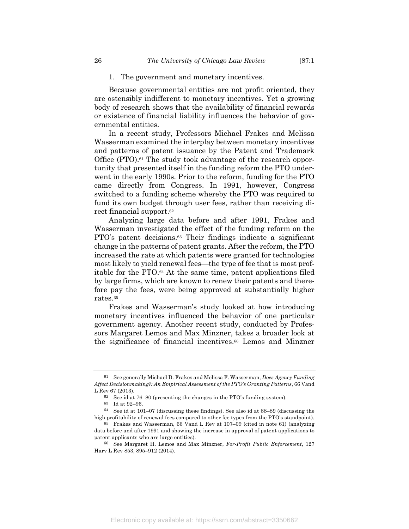#### 1. The government and monetary incentives.

Because governmental entities are not profit oriented, they are ostensibly indifferent to monetary incentives. Yet a growing body of research shows that the availability of financial rewards or existence of financial liability influences the behavior of governmental entities.

In a recent study, Professors Michael Frakes and Melissa Wasserman examined the interplay between monetary incentives and patterns of patent issuance by the Patent and Trademark Office (PTO).<sup>61</sup> The study took advantage of the research opportunity that presented itself in the funding reform the PTO underwent in the early 1990s. Prior to the reform, funding for the PTO came directly from Congress. In 1991, however, Congress switched to a funding scheme whereby the PTO was required to fund its own budget through user fees, rather than receiving direct financial support.62

Analyzing large data before and after 1991, Frakes and Wasserman investigated the effect of the funding reform on the PTO's patent decisions.63 Their findings indicate a significant change in the patterns of patent grants. After the reform, the PTO increased the rate at which patents were granted for technologies most likely to yield renewal fees—the type of fee that is most profitable for the PTO.64 At the same time, patent applications filed by large firms, which are known to renew their patents and therefore pay the fees, were being approved at substantially higher rates.65

Frakes and Wasserman's study looked at how introducing monetary incentives influenced the behavior of one particular government agency. Another recent study, conducted by Professors Margaret Lemos and Max Minzner, takes a broader look at the significance of financial incentives.66 Lemos and Minzner

<sup>61</sup> See generally Michael D. Frakes and Melissa F. Wasserman, *Does Agency Funding Affect Decisionmaking?: An Empirical Assessment of the PTO's Granting Patterns*, 66 Vand L Rev 67 (2013).

<sup>62</sup> See id at 76–80 (presenting the changes in the PTO's funding system).

<sup>63</sup> Id at 92–96.

<sup>64</sup> See id at 101–07 (discussing these findings). See also id at 88–89 (discussing the high profitability of renewal fees compared to other fee types from the PTO's standpoint).

<sup>65</sup> Frakes and Wasserman, 66 Vand L Rev at 107–09 (cited in note 61) (analyzing data before and after 1991 and showing the increase in approval of patent applications to patent applicants who are large entities).

<sup>66</sup> See Margaret H. Lemos and Max Minzner, *For-Profit Public Enforcement*, 127 Harv L Rev 853, 895–912 (2014).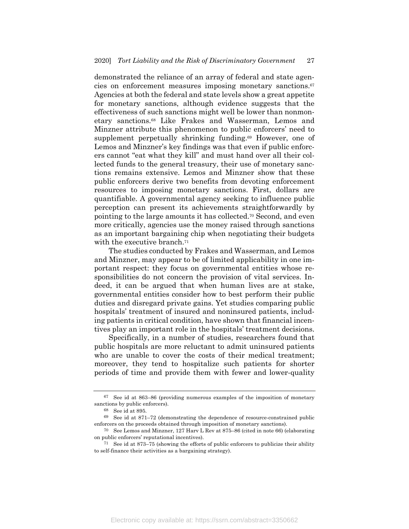demonstrated the reliance of an array of federal and state agencies on enforcement measures imposing monetary sanctions.67 Agencies at both the federal and state levels show a great appetite for monetary sanctions, although evidence suggests that the effectiveness of such sanctions might well be lower than nonmonetary sanctions.68 Like Frakes and Wasserman, Lemos and Minzner attribute this phenomenon to public enforcers' need to supplement perpetually shrinking funding.69 However, one of Lemos and Minzner's key findings was that even if public enforcers cannot "eat what they kill" and must hand over all their collected funds to the general treasury, their use of monetary sanctions remains extensive. Lemos and Minzner show that these public enforcers derive two benefits from devoting enforcement resources to imposing monetary sanctions. First, dollars are quantifiable. A governmental agency seeking to influence public perception can present its achievements straightforwardly by pointing to the large amounts it has collected.70 Second, and even more critically, agencies use the money raised through sanctions as an important bargaining chip when negotiating their budgets with the executive branch.<sup>71</sup>

The studies conducted by Frakes and Wasserman, and Lemos and Minzner, may appear to be of limited applicability in one important respect: they focus on governmental entities whose responsibilities do not concern the provision of vital services. Indeed, it can be argued that when human lives are at stake, governmental entities consider how to best perform their public duties and disregard private gains. Yet studies comparing public hospitals' treatment of insured and noninsured patients, including patients in critical condition, have shown that financial incentives play an important role in the hospitals' treatment decisions.

Specifically, in a number of studies, researchers found that public hospitals are more reluctant to admit uninsured patients who are unable to cover the costs of their medical treatment; moreover, they tend to hospitalize such patients for shorter periods of time and provide them with fewer and lower-quality

<sup>67</sup> See id at 863–86 (providing numerous examples of the imposition of monetary sanctions by public enforcers).

<sup>68</sup> See id at 895.

<sup>69</sup> See id at 871–72 (demonstrating the dependence of resource-constrained public enforcers on the proceeds obtained through imposition of monetary sanctions).

<sup>70</sup> See Lemos and Minzner, 127 Harv L Rev at 875–86 (cited in note 66) (elaborating on public enforcers' reputational incentives).

<sup>71</sup> See id at 873–75 (showing the efforts of public enforcers to publicize their ability to self-finance their activities as a bargaining strategy).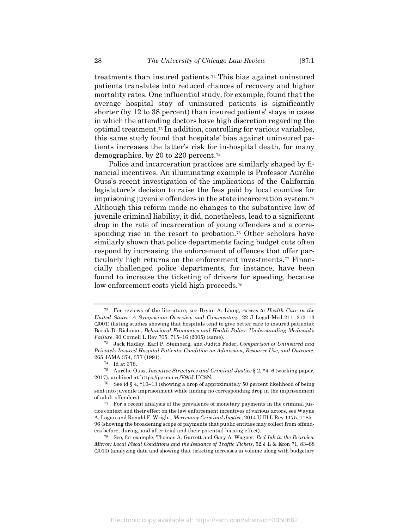treatments than insured patients.72 This bias against uninsured patients translates into reduced chances of recovery and higher mortality rates. One influential study, for example, found that the average hospital stay of uninsured patients is significantly shorter (by 12 to 38 percent) than insured patients' stays in cases in which the attending doctors have high discretion regarding the optimal treatment.73 In addition, controlling for various variables, this same study found that hospitals' bias against uninsured patients increases the latter's risk for in-hospital death, for many demographics, by 20 to 220 percent.74

Police and incarceration practices are similarly shaped by financial incentives. An illuminating example is Professor Aurélie Ouss's recent investigation of the implications of the California legislature's decision to raise the fees paid by local counties for imprisoning juvenile offenders in the state incarceration system.75 Although this reform made no changes to the substantive law of juvenile criminal liability, it did, nonetheless, lead to a significant drop in the rate of incarceration of young offenders and a corresponding rise in the resort to probation.<sup>76</sup> Other scholars have similarly shown that police departments facing budget cuts often respond by increasing the enforcement of offences that offer particularly high returns on the enforcement investments.77 Financially challenged police departments, for instance, have been found to increase the ticketing of drivers for speeding, because low enforcement costs yield high proceeds.<sup>78</sup>

<sup>72</sup> For reviews of the literature, see Bryan A. Liang, *Access to Health Care in the United States: A Symposium Overview and Commentary*, 22 J Legal Med 211, 212–13 (2001) (listing studies showing that hospitals tend to give better care to insured patients); Barak D. Richman, *Behavioral Economics and Health Policy: Understanding Medicaid's Failure*, 90 Cornell L Rev 705, 715–16 (2005) (same).

<sup>73</sup> Jack Hadley, Earl P. Steinberg, and Judith Feder, *Comparison of Uninsured and Privately Insured Hospital Patients: Condition on Admission, Resource Use, and Outcome*, 265 JAMA 374, 377 (1991).

<sup>74</sup> Id at 378.

<sup>75</sup> Aurélie Ouss, *Incentive Structures and Criminal Justice* § 2, \*4–6 (working paper, 2017), archived at https://perma.cc/V95J-UC8N.

<sup>76</sup> See id § 4, \*10–13 (showing a drop of approximately 50 percent likelihood of being sent into juvenile imprisonment while finding no corresponding drop in the imprisonment of adult offenders).

<sup>77</sup> For a recent analysis of the prevalence of monetary payments in the criminal justice context and their effect on the law enforcement incentives of various actors, see Wayne A. Logan and Ronald F. Wright, *Mercenary Criminal Justice*, 2014 U Ill L Rev 1175, 1185– 96 (showing the broadening scope of payments that public entities may collect from offenders before, during, and after trial and their potential biasing effect).

<sup>78</sup> See, for example, Thomas A. Garrett and Gary A. Wagner, *Red Ink in the Rearview Mirror: Local Fiscal Conditions and the Issuance of Traffic Tickets*, 52 J L & Econ 71, 83–88 (2010) (analyzing data and showing that ticketing increases in volume along with budgetary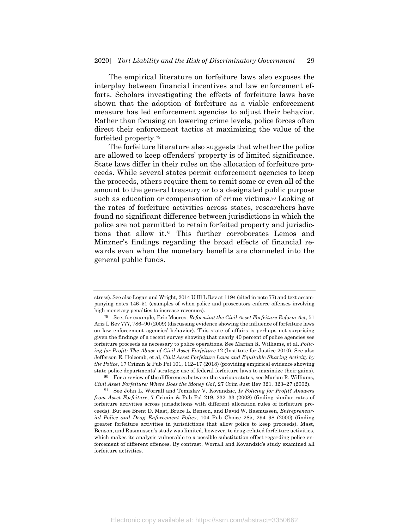The empirical literature on forfeiture laws also exposes the interplay between financial incentives and law enforcement efforts. Scholars investigating the effects of forfeiture laws have shown that the adoption of forfeiture as a viable enforcement measure has led enforcement agencies to adjust their behavior. Rather than focusing on lowering crime levels, police forces often direct their enforcement tactics at maximizing the value of the forfeited property.79

The forfeiture literature also suggests that whether the police are allowed to keep offenders' property is of limited significance. State laws differ in their rules on the allocation of forfeiture proceeds. While several states permit enforcement agencies to keep the proceeds, others require them to remit some or even all of the amount to the general treasury or to a designated public purpose such as education or compensation of crime victims.<sup>80</sup> Looking at the rates of forfeiture activities across states, researchers have found no significant difference between jurisdictions in which the police are not permitted to retain forfeited property and jurisdictions that allow it.81 This further corroborates Lemos and Minzner's findings regarding the broad effects of financial rewards even when the monetary benefits are channeled into the general public funds.

80 For a review of the differences between the various states, see Marian R. Williams, *Civil Asset Forfeiture: Where Does the Money Go?*, 27 Crim Just Rev 321, 323–27 (2002).

81 See John L. Worrall and Tomislav V. Kovandzic, *Is Policing for Profit? Answers from Asset Forfeiture*, 7 Crimin & Pub Pol 219, 232–33 (2008) (finding similar rates of forfeiture activities across jurisdictions with different allocation rules of forfeiture proceeds). But see Brent D. Mast, Bruce L. Benson, and David W. Rasmussen, *Entrepreneurial Police and Drug Enforcement Policy*, 104 Pub Choice 285, 294–98 (2000) (finding greater forfeiture activities in jurisdictions that allow police to keep proceeds). Mast, Benson, and Rasmussen's study was limited, however, to drug-related forfeiture activities, which makes its analysis vulnerable to a possible substitution effect regarding police enforcement of different offences. By contrast, Worrall and Kovandzic's study examined all forfeiture activities.

stress). See also Logan and Wright, 2014 U Ill L Rev at 1194 (cited in note 77) and text accompanying notes 146–51 (examples of when police and prosecutors enforce offenses involving high monetary penalties to increase revenues).

<sup>79</sup> See, for example, Eric Moores, *Reforming the Civil Asset Forfeiture Reform Act*, 51 Ariz L Rev 777, 786–90 (2009) (discussing evidence showing the influence of forfeiture laws on law enforcement agencies' behavior). This state of affairs is perhaps not surprising given the findings of a recent survey showing that nearly 40 percent of police agencies see forfeiture proceeds as necessary to police operations. See Marian R. Williams, et al, *Policing for Profit: The Abuse of Civil Asset Forfeiture* 12 (Institute for Justice 2010). See also Jefferson E. Holcomb, et al, *Civil Asset Forfeiture Laws and Equitable Sharing Activity by the Police*, 17 Crimin & Pub Pol 101, 112–17 (2018) (providing empirical evidence showing state police departments' strategic use of federal forfeiture laws to maximize their gains).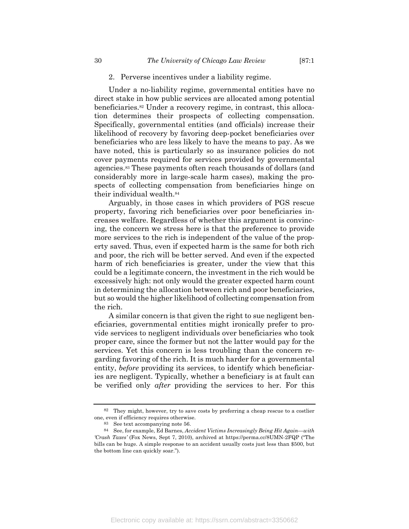#### 2. Perverse incentives under a liability regime.

Under a no-liability regime, governmental entities have no direct stake in how public services are allocated among potential beneficiaries.82 Under a recovery regime, in contrast, this allocation determines their prospects of collecting compensation. Specifically, governmental entities (and officials) increase their likelihood of recovery by favoring deep-pocket beneficiaries over beneficiaries who are less likely to have the means to pay. As we have noted, this is particularly so as insurance policies do not cover payments required for services provided by governmental agencies.83 These payments often reach thousands of dollars (and considerably more in large-scale harm cases), making the prospects of collecting compensation from beneficiaries hinge on their individual wealth.84

Arguably, in those cases in which providers of PGS rescue property, favoring rich beneficiaries over poor beneficiaries increases welfare. Regardless of whether this argument is convincing, the concern we stress here is that the preference to provide more services to the rich is independent of the value of the property saved. Thus, even if expected harm is the same for both rich and poor, the rich will be better served. And even if the expected harm of rich beneficiaries is greater, under the view that this could be a legitimate concern, the investment in the rich would be excessively high: not only would the greater expected harm count in determining the allocation between rich and poor beneficiaries, but so would the higher likelihood of collecting compensation from the rich.

A similar concern is that given the right to sue negligent beneficiaries, governmental entities might ironically prefer to provide services to negligent individuals over beneficiaries who took proper care, since the former but not the latter would pay for the services. Yet this concern is less troubling than the concern regarding favoring of the rich. It is much harder for a governmental entity, *before* providing its services, to identify which beneficiaries are negligent. Typically, whether a beneficiary is at fault can be verified only *after* providing the services to her. For this

<sup>82</sup> They might, however, try to save costs by preferring a cheap rescue to a costlier one, even if efficiency requires otherwise.

<sup>83</sup> See text accompanying note 56.

<sup>84</sup> See, for example, Ed Barnes, *Accident Victims Increasingly Being Hit Again—with 'Crash Taxes'* (Fox News, Sept 7, 2010), archived at https://perma.cc/8UMN-2FQP ("The bills can be huge. A simple response to an accident usually costs just less than \$500, but the bottom line can quickly soar.").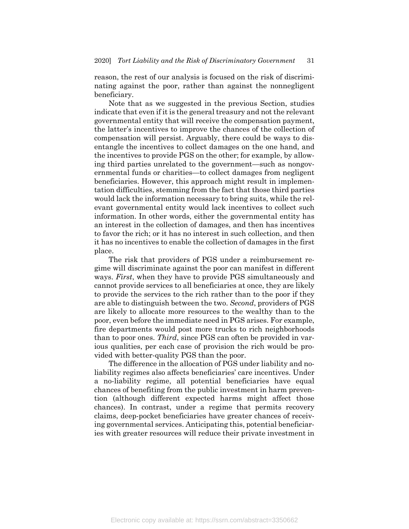reason, the rest of our analysis is focused on the risk of discriminating against the poor, rather than against the nonnegligent beneficiary.

Note that as we suggested in the previous Section, studies indicate that even if it is the general treasury and not the relevant governmental entity that will receive the compensation payment, the latter's incentives to improve the chances of the collection of compensation will persist. Arguably, there could be ways to disentangle the incentives to collect damages on the one hand, and the incentives to provide PGS on the other; for example, by allowing third parties unrelated to the government—such as nongovernmental funds or charities—to collect damages from negligent beneficiaries. However, this approach might result in implementation difficulties, stemming from the fact that those third parties would lack the information necessary to bring suits, while the relevant governmental entity would lack incentives to collect such information. In other words, either the governmental entity has an interest in the collection of damages, and then has incentives to favor the rich; or it has no interest in such collection, and then it has no incentives to enable the collection of damages in the first place.

The risk that providers of PGS under a reimbursement regime will discriminate against the poor can manifest in different ways. *First*, when they have to provide PGS simultaneously and cannot provide services to all beneficiaries at once, they are likely to provide the services to the rich rather than to the poor if they are able to distinguish between the two. *Second*, providers of PGS are likely to allocate more resources to the wealthy than to the poor, even before the immediate need in PGS arises. For example, fire departments would post more trucks to rich neighborhoods than to poor ones. *Third*, since PGS can often be provided in various qualities, per each case of provision the rich would be provided with better-quality PGS than the poor.

The difference in the allocation of PGS under liability and noliability regimes also affects beneficiaries' care incentives. Under a no-liability regime, all potential beneficiaries have equal chances of benefiting from the public investment in harm prevention (although different expected harms might affect those chances). In contrast, under a regime that permits recovery claims, deep-pocket beneficiaries have greater chances of receiving governmental services. Anticipating this, potential beneficiaries with greater resources will reduce their private investment in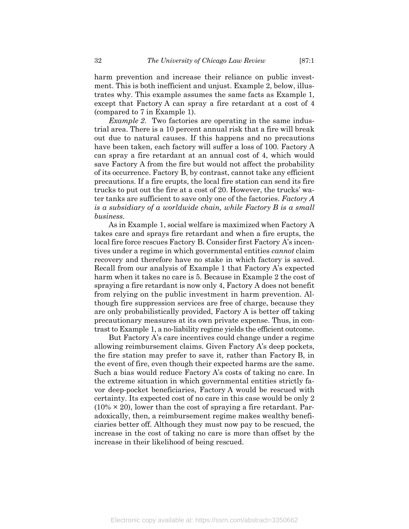harm prevention and increase their reliance on public investment. This is both inefficient and unjust. Example 2, below, illustrates why. This example assumes the same facts as Example 1, except that Factory A can spray a fire retardant at a cost of 4 (compared to 7 in Example 1).

*Example 2*. Two factories are operating in the same industrial area. There is a 10 percent annual risk that a fire will break out due to natural causes. If this happens and no precautions have been taken, each factory will suffer a loss of 100. Factory A can spray a fire retardant at an annual cost of 4, which would save Factory A from the fire but would not affect the probability of its occurrence. Factory B, by contrast, cannot take any efficient precautions. If a fire erupts, the local fire station can send its fire trucks to put out the fire at a cost of 20. However, the trucks' water tanks are sufficient to save only one of the factories. *Factory A is a subsidiary of a worldwide chain, while Factory B is a small business*.

As in Example 1, social welfare is maximized when Factory A takes care and sprays fire retardant and when a fire erupts, the local fire force rescues Factory B. Consider first Factory A's incentives under a regime in which governmental entities *cannot* claim recovery and therefore have no stake in which factory is saved. Recall from our analysis of Example 1 that Factory A's expected harm when it takes no care is 5. Because in Example 2 the cost of spraying a fire retardant is now only 4, Factory A does not benefit from relying on the public investment in harm prevention. Although fire suppression services are free of charge, because they are only probabilistically provided, Factory A is better off taking precautionary measures at its own private expense. Thus, in contrast to Example 1, a no-liability regime yields the efficient outcome.

But Factory A's care incentives could change under a regime allowing reimbursement claims. Given Factory A's deep pockets, the fire station may prefer to save it, rather than Factory B, in the event of fire, even though their expected harms are the same. Such a bias would reduce Factory A's costs of taking no care. In the extreme situation in which governmental entities strictly favor deep-pocket beneficiaries, Factory A would be rescued with certainty. Its expected cost of no care in this case would be only 2  $(10\% \times 20)$ , lower than the cost of spraying a fire retardant. Paradoxically, then, a reimbursement regime makes wealthy beneficiaries better off. Although they must now pay to be rescued, the increase in the cost of taking no care is more than offset by the increase in their likelihood of being rescued.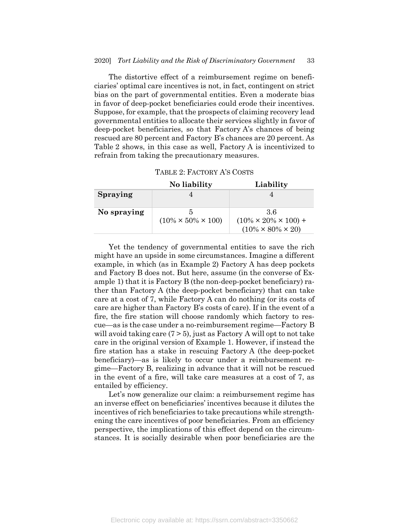The distortive effect of a reimbursement regime on beneficiaries' optimal care incentives is not, in fact, contingent on strict bias on the part of governmental entities. Even a moderate bias in favor of deep-pocket beneficiaries could erode their incentives. Suppose, for example, that the prospects of claiming recovery lead governmental entities to allocate their services slightly in favor of deep-pocket beneficiaries, so that Factory A's chances of being rescued are 80 percent and Factory B's chances are 20 percent. As Table 2 shows, in this case as well, Factory A is incentivized to refrain from taking the precautionary measures.

| TABLE 2: FACTORY A'S COSTS |  |
|----------------------------|--|
|----------------------------|--|

|                 | No liability                    | Liability                         |
|-----------------|---------------------------------|-----------------------------------|
| <b>Spraying</b> |                                 |                                   |
|                 |                                 |                                   |
| No spraying     |                                 | -36                               |
|                 | $(10\% \times 50\% \times 100)$ | $(10\% \times 20\% \times 100) +$ |
|                 |                                 | $(10\% \times 80\% \times 20)$    |

Yet the tendency of governmental entities to save the rich might have an upside in some circumstances. Imagine a different example, in which (as in Example 2) Factory A has deep pockets and Factory B does not. But here, assume (in the converse of Example 1) that it is Factory B (the non-deep-pocket beneficiary) rather than Factory A (the deep-pocket beneficiary) that can take care at a cost of 7, while Factory A can do nothing (or its costs of care are higher than Factory B's costs of care). If in the event of a fire, the fire station will choose randomly which factory to rescue—as is the case under a no-reimbursement regime—Factory B will avoid taking care  $(7 > 5)$ , just as Factory A will opt to not take care in the original version of Example 1. However, if instead the fire station has a stake in rescuing Factory A (the deep-pocket beneficiary)—as is likely to occur under a reimbursement regime—Factory B, realizing in advance that it will not be rescued in the event of a fire, will take care measures at a cost of 7, as entailed by efficiency.

Let's now generalize our claim: a reimbursement regime has an inverse effect on beneficiaries' incentives because it dilutes the incentives of rich beneficiaries to take precautions while strengthening the care incentives of poor beneficiaries. From an efficiency perspective, the implications of this effect depend on the circumstances. It is socially desirable when poor beneficiaries are the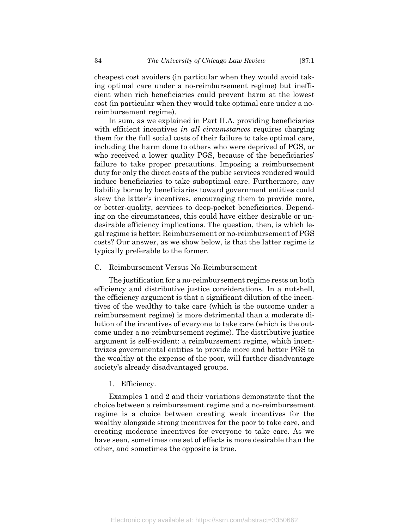cheapest cost avoiders (in particular when they would avoid taking optimal care under a no-reimbursement regime) but inefficient when rich beneficiaries could prevent harm at the lowest cost (in particular when they would take optimal care under a noreimbursement regime).

In sum, as we explained in Part II.A, providing beneficiaries with efficient incentives *in all circumstances* requires charging them for the full social costs of their failure to take optimal care, including the harm done to others who were deprived of PGS, or who received a lower quality PGS, because of the beneficiaries' failure to take proper precautions. Imposing a reimbursement duty for only the direct costs of the public services rendered would induce beneficiaries to take suboptimal care. Furthermore, any liability borne by beneficiaries toward government entities could skew the latter's incentives, encouraging them to provide more, or better-quality, services to deep-pocket beneficiaries. Depending on the circumstances, this could have either desirable or undesirable efficiency implications. The question, then, is which legal regime is better: Reimbursement or no-reimbursement of PGS costs? Our answer, as we show below, is that the latter regime is typically preferable to the former.

C. Reimbursement Versus No-Reimbursement

The justification for a no-reimbursement regime rests on both efficiency and distributive justice considerations. In a nutshell, the efficiency argument is that a significant dilution of the incentives of the wealthy to take care (which is the outcome under a reimbursement regime) is more detrimental than a moderate dilution of the incentives of everyone to take care (which is the outcome under a no-reimbursement regime). The distributive justice argument is self-evident: a reimbursement regime, which incentivizes governmental entities to provide more and better PGS to the wealthy at the expense of the poor, will further disadvantage society's already disadvantaged groups.

1. Efficiency.

Examples 1 and 2 and their variations demonstrate that the choice between a reimbursement regime and a no-reimbursement regime is a choice between creating weak incentives for the wealthy alongside strong incentives for the poor to take care, and creating moderate incentives for everyone to take care. As we have seen, sometimes one set of effects is more desirable than the other, and sometimes the opposite is true.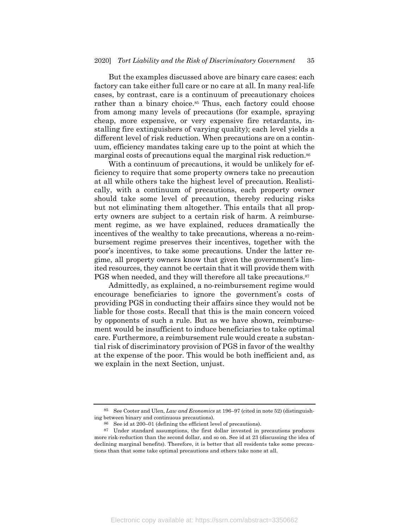But the examples discussed above are binary care cases: each factory can take either full care or no care at all. In many real-life cases, by contrast, care is a continuum of precautionary choices rather than a binary choice.<sup>85</sup> Thus, each factory could choose from among many levels of precautions (for example, spraying cheap, more expensive, or very expensive fire retardants, installing fire extinguishers of varying quality); each level yields a different level of risk reduction. When precautions are on a continuum, efficiency mandates taking care up to the point at which the marginal costs of precautions equal the marginal risk reduction.86

With a continuum of precautions, it would be unlikely for efficiency to require that some property owners take no precaution at all while others take the highest level of precaution. Realistically, with a continuum of precautions, each property owner should take some level of precaution, thereby reducing risks but not eliminating them altogether. This entails that all property owners are subject to a certain risk of harm. A reimbursement regime, as we have explained, reduces dramatically the incentives of the wealthy to take precautions, whereas a no-reimbursement regime preserves their incentives, together with the poor's incentives, to take some precautions. Under the latter regime, all property owners know that given the government's limited resources, they cannot be certain that it will provide them with PGS when needed, and they will therefore all take precautions.<sup>87</sup>

Admittedly, as explained, a no-reimbursement regime would encourage beneficiaries to ignore the government's costs of providing PGS in conducting their affairs since they would not be liable for those costs. Recall that this is the main concern voiced by opponents of such a rule. But as we have shown, reimbursement would be insufficient to induce beneficiaries to take optimal care. Furthermore, a reimbursement rule would create a substantial risk of discriminatory provision of PGS in favor of the wealthy at the expense of the poor. This would be both inefficient and, as we explain in the next Section, unjust.

<sup>85</sup> See Cooter and Ulen, *Law and Economics* at 196–97 (cited in note 52) (distinguishing between binary and continuous precautions).

<sup>86</sup> See id at 200–01 (defining the efficient level of precautions).

<sup>87</sup> Under standard assumptions, the first dollar invested in precautions produces more risk-reduction than the second dollar, and so on. See id at 23 (discussing the idea of declining marginal benefits). Therefore, it is better that all residents take some precautions than that some take optimal precautions and others take none at all.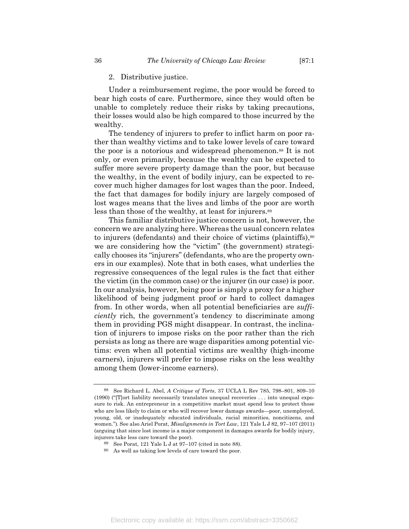#### 2. Distributive justice.

Under a reimbursement regime, the poor would be forced to bear high costs of care. Furthermore, since they would often be unable to completely reduce their risks by taking precautions, their losses would also be high compared to those incurred by the wealthy.

The tendency of injurers to prefer to inflict harm on poor rather than wealthy victims and to take lower levels of care toward the poor is a notorious and widespread phenomenon.<sup>88</sup> It is not only, or even primarily, because the wealthy can be expected to suffer more severe property damage than the poor, but because the wealthy, in the event of bodily injury, can be expected to recover much higher damages for lost wages than the poor. Indeed, the fact that damages for bodily injury are largely composed of lost wages means that the lives and limbs of the poor are worth less than those of the wealthy, at least for injurers.89

This familiar distributive justice concern is not, however, the concern we are analyzing here. Whereas the usual concern relates to injurers (defendants) and their choice of victims (plaintiffs), $90$ we are considering how the "victim" (the government) strategically chooses its "injurers" (defendants, who are the property owners in our examples). Note that in both cases, what underlies the regressive consequences of the legal rules is the fact that either the victim (in the common case) or the injurer (in our case) is poor. In our analysis, however, being poor is simply a proxy for a higher likelihood of being judgment proof or hard to collect damages from. In other words, when all potential beneficiaries are *sufficiently* rich, the government's tendency to discriminate among them in providing PGS might disappear. In contrast, the inclination of injurers to impose risks on the poor rather than the rich persists as long as there are wage disparities among potential victims: even when all potential victims are wealthy (high-income earners), injurers will prefer to impose risks on the less wealthy among them (lower-income earners).

<sup>88</sup> See Richard L. Abel, *A Critique of Torts*, 37 UCLA L Rev 785, 798–801, 809–10 (1990) ("[T]ort liability necessarily translates unequal recoveries . . . into unequal exposure to risk. An entrepreneur in a competitive market must spend less to protect those who are less likely to claim or who will recover lower damage awards—poor, unemployed, young, old, or inadequately educated individuals, racial minorities, noncitizens, and women."). See also Ariel Porat, *Misalignments in Tort Law*, 121 Yale L J 82, 97–107 (2011) (arguing that since lost income is a major component in damages awards for bodily injury, injurers take less care toward the poor).

<sup>89</sup> See Porat, 121 Yale L J at 97–107 (cited in note 88).

<sup>90</sup> As well as taking low levels of care toward the poor.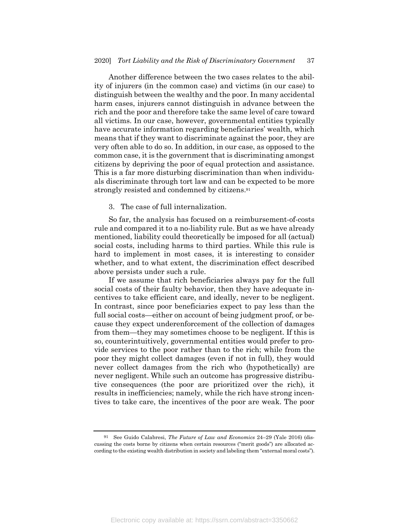Another difference between the two cases relates to the ability of injurers (in the common case) and victims (in our case) to distinguish between the wealthy and the poor. In many accidental harm cases, injurers cannot distinguish in advance between the rich and the poor and therefore take the same level of care toward all victims. In our case, however, governmental entities typically have accurate information regarding beneficiaries' wealth, which means that if they want to discriminate against the poor, they are very often able to do so. In addition, in our case, as opposed to the common case, it is the government that is discriminating amongst citizens by depriving the poor of equal protection and assistance. This is a far more disturbing discrimination than when individuals discriminate through tort law and can be expected to be more strongly resisted and condemned by citizens.91

3. The case of full internalization.

So far, the analysis has focused on a reimbursement-of-costs rule and compared it to a no-liability rule. But as we have already mentioned, liability could theoretically be imposed for all (actual) social costs, including harms to third parties. While this rule is hard to implement in most cases, it is interesting to consider whether, and to what extent, the discrimination effect described above persists under such a rule.

If we assume that rich beneficiaries always pay for the full social costs of their faulty behavior, then they have adequate incentives to take efficient care, and ideally, never to be negligent. In contrast, since poor beneficiaries expect to pay less than the full social costs—either on account of being judgment proof, or because they expect underenforcement of the collection of damages from them—they may sometimes choose to be negligent. If this is so, counterintuitively, governmental entities would prefer to provide services to the poor rather than to the rich; while from the poor they might collect damages (even if not in full), they would never collect damages from the rich who (hypothetically) are never negligent. While such an outcome has progressive distributive consequences (the poor are prioritized over the rich), it results in inefficiencies; namely, while the rich have strong incentives to take care, the incentives of the poor are weak. The poor

<sup>91</sup> See Guido Calabresi, *The Future of Law and Economics* 24–29 (Yale 2016) (discussing the costs borne by citizens when certain resources ("merit goods") are allocated according to the existing wealth distribution in society and labeling them "external moral costs").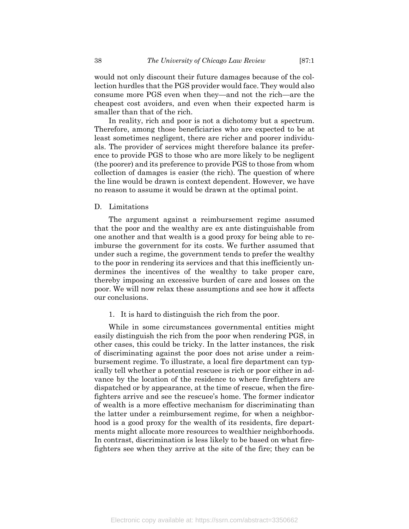would not only discount their future damages because of the collection hurdles that the PGS provider would face. They would also consume more PGS even when they—and not the rich—are the cheapest cost avoiders, and even when their expected harm is smaller than that of the rich.

In reality, rich and poor is not a dichotomy but a spectrum. Therefore, among those beneficiaries who are expected to be at least sometimes negligent, there are richer and poorer individuals. The provider of services might therefore balance its preference to provide PGS to those who are more likely to be negligent (the poorer) and its preference to provide PGS to those from whom collection of damages is easier (the rich). The question of where the line would be drawn is context dependent. However, we have no reason to assume it would be drawn at the optimal point.

#### D. Limitations

The argument against a reimbursement regime assumed that the poor and the wealthy are ex ante distinguishable from one another and that wealth is a good proxy for being able to reimburse the government for its costs. We further assumed that under such a regime, the government tends to prefer the wealthy to the poor in rendering its services and that this inefficiently undermines the incentives of the wealthy to take proper care, thereby imposing an excessive burden of care and losses on the poor. We will now relax these assumptions and see how it affects our conclusions.

#### 1. It is hard to distinguish the rich from the poor.

While in some circumstances governmental entities might easily distinguish the rich from the poor when rendering PGS, in other cases, this could be tricky. In the latter instances, the risk of discriminating against the poor does not arise under a reimbursement regime. To illustrate, a local fire department can typically tell whether a potential rescuee is rich or poor either in advance by the location of the residence to where firefighters are dispatched or by appearance, at the time of rescue, when the firefighters arrive and see the rescuee's home. The former indicator of wealth is a more effective mechanism for discriminating than the latter under a reimbursement regime, for when a neighborhood is a good proxy for the wealth of its residents, fire departments might allocate more resources to wealthier neighborhoods. In contrast, discrimination is less likely to be based on what firefighters see when they arrive at the site of the fire; they can be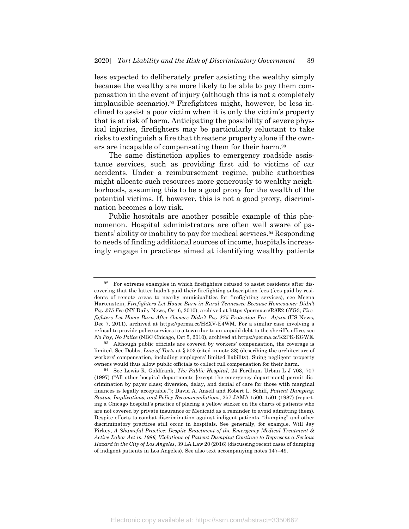less expected to deliberately prefer assisting the wealthy simply because the wealthy are more likely to be able to pay them compensation in the event of injury (although this is not a completely implausible scenario).92 Firefighters might, however, be less inclined to assist a poor victim when it is only the victim's property that is at risk of harm. Anticipating the possibility of severe physical injuries, firefighters may be particularly reluctant to take risks to extinguish a fire that threatens property alone if the owners are incapable of compensating them for their harm.<sup>93</sup>

The same distinction applies to emergency roadside assistance services, such as providing first aid to victims of car accidents. Under a reimbursement regime, public authorities might allocate such resources more generously to wealthy neighborhoods, assuming this to be a good proxy for the wealth of the potential victims. If, however, this is not a good proxy, discrimination becomes a low risk.

Public hospitals are another possible example of this phenomenon. Hospital administrators are often well aware of patients' ability or inability to pay for medical services.94 Responding to needs of finding additional sources of income, hospitals increasingly engage in practices aimed at identifying wealthy patients

<sup>92</sup> For extreme examples in which firefighters refused to assist residents after discovering that the latter hadn't paid their firefighting subscription fees (fees paid by residents of remote areas to nearby municipalities for firefighting services), see Meena Hartenstein, *Firefighters Let House Burn in Rural Tennessee Because Homeowner Didn't Pay \$75 Fee* (NY Daily News, Oct 6, 2010), archived at https://perma.cc/R8E2-6YG3; *Firefighters Let Home Burn After Owners Didn't Pay \$75 Protection Fee—Again* (US News, Dec 7, 2011), archived at https://perma.cc/H8XV-E4WM. For a similar case involving a refusal to provide police services to a town due to an unpaid debt to the sheriff's office, see *No Pay, No Police* (NBC Chicago, Oct 5, 2010), archived at https://perma.cc/K2PK-KGWE.

<sup>93</sup> Although public officials are covered by workers' compensation, the coverage is limited. See Dobbs, *Law of Torts* at § 503 (cited in note 38) (describing the architecture of workers' compensation, including employers' limited liability). Suing negligent property owners would thus allow public officials to collect full compensation for their harm.

<sup>94</sup> See Lewis R. Goldfrank, *The Public Hospital*, 24 Fordham Urban L J 703, 707 (1997) ("All other hospital departments [except the emergency department] permit discrimination by payer class; diversion, delay, and denial of care for those with marginal finances is legally acceptable."); David A. Ansell and Robert L. Schiff, *Patient Dumping: Status, Implications, and Policy Recommendations*, 257 JAMA 1500, 1501 (1987) (reporting a Chicago hospital's practice of placing a yellow sticker on the charts of patients who are not covered by private insurance or Medicaid as a reminder to avoid admitting them). Despite efforts to combat discrimination against indigent patients, "dumping" and other discriminatory practices still occur in hospitals. See generally, for example, Will Jay Pirkey, *A Shameful Practice: Despite Enactment of the Emergency Medical Treatment & Active Labor Act in 1986, Violations of Patient Dumping Continue to Represent a Serious Hazard in the City of Los Angeles*, 39 LA Law 20 (2016) (discussing recent cases of dumping of indigent patients in Los Angeles). See also text accompanying notes 147–49.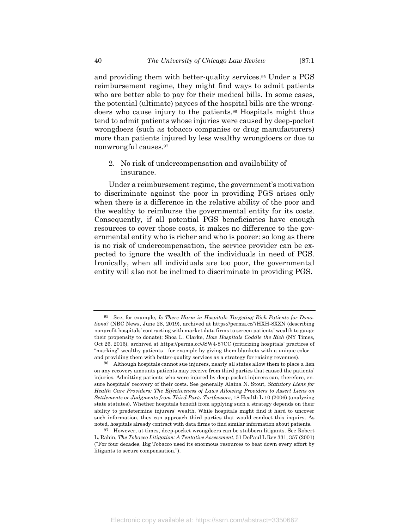and providing them with better-quality services.95 Under a PGS reimbursement regime, they might find ways to admit patients who are better able to pay for their medical bills. In some cases, the potential (ultimate) payees of the hospital bills are the wrongdoers who cause injury to the patients.96 Hospitals might thus tend to admit patients whose injuries were caused by deep-pocket wrongdoers (such as tobacco companies or drug manufacturers) more than patients injured by less wealthy wrongdoers or due to nonwrongful causes.97

2. No risk of undercompensation and availability of insurance.

Under a reimbursement regime, the government's motivation to discriminate against the poor in providing PGS arises only when there is a difference in the relative ability of the poor and the wealthy to reimburse the governmental entity for its costs. Consequently, if all potential PGS beneficiaries have enough resources to cover those costs, it makes no difference to the governmental entity who is richer and who is poorer: so long as there is no risk of undercompensation, the service provider can be expected to ignore the wealth of the individuals in need of PGS. Ironically, when all individuals are too poor, the governmental entity will also not be inclined to discriminate in providing PGS.

<sup>95</sup> See, for example, *Is There Harm in Hospitals Targeting Rich Patients for Donations?* (NBC News, June 28, 2019), archived at https://perma.cc/7HXH-8XZN (describing nonprofit hospitals' contracting with market data firms to screen patients' wealth to gauge their propensity to donate); Shoa L. Clarke, *How Hospitals Coddle the Rich* (NY Times, Oct 26, 2015), archived at https://perma.cc/JSW4-87CC (criticizing hospitals' practices of "marking" wealthy patients—for example by giving them blankets with a unique color and providing them with better-quality services as a strategy for raising revenues).

<sup>96</sup> Although hospitals cannot sue injurers, nearly all states allow them to place a lien on any recovery amounts patients may receive from third parties that caused the patients' injuries. Admitting patients who were injured by deep-pocket injurers can, therefore, ensure hospitals' recovery of their costs. See generally Alaina N. Stout, *Statutory Liens for Health Care Providers: The Effectiveness of Laws Allowing Providers to Assert Liens on Settlements or Judgments from Third Party Tortfeasors*, 18 Health L 10 (2006) (analyzing state statutes). Whether hospitals benefit from applying such a strategy depends on their ability to predetermine injurers' wealth. While hospitals might find it hard to uncover such information, they can approach third parties that would conduct this inquiry. As noted, hospitals already contract with data firms to find similar information about patients.

<sup>97</sup> However, at times, deep-pocket wrongdoers can be stubborn litigants. See Robert L. Rabin, *The Tobacco Litigation: A Tentative Assessment*, 51 DePaul L Rev 331, 357 (2001) ("For four decades, Big Tobacco used its enormous resources to beat down every effort by litigants to secure compensation.").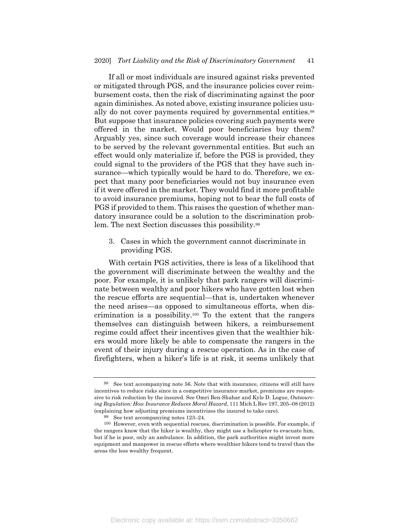If all or most individuals are insured against risks prevented or mitigated through PGS, and the insurance policies cover reimbursement costs, then the risk of discriminating against the poor again diminishes. As noted above, existing insurance policies usually do not cover payments required by governmental entities.<sup>98</sup> But suppose that insurance policies covering such payments were offered in the market. Would poor beneficiaries buy them? Arguably yes, since such coverage would increase their chances to be served by the relevant governmental entities. But such an effect would only materialize if, before the PGS is provided, they could signal to the providers of the PGS that they have such insurance—which typically would be hard to do. Therefore, we expect that many poor beneficiaries would not buy insurance even if it were offered in the market. They would find it more profitable to avoid insurance premiums, hoping not to bear the full costs of PGS if provided to them. This raises the question of whether mandatory insurance could be a solution to the discrimination problem. The next Section discusses this possibility.99

3. Cases in which the government cannot discriminate in providing PGS.

With certain PGS activities, there is less of a likelihood that the government will discriminate between the wealthy and the poor. For example, it is unlikely that park rangers will discriminate between wealthy and poor hikers who have gotten lost when the rescue efforts are sequential—that is, undertaken whenever the need arises—as opposed to simultaneous efforts, when discrimination is a possibility.<sup>100</sup> To the extent that the rangers themselves can distinguish between hikers, a reimbursement regime could affect their incentives given that the wealthier hikers would more likely be able to compensate the rangers in the event of their injury during a rescue operation. As in the case of firefighters, when a hiker's life is at risk, it seems unlikely that

<sup>98</sup> See text accompanying note 56. Note that with insurance, citizens will still have incentives to reduce risks since in a competitive insurance market, premiums are responsive to risk reduction by the insured. See Omri Ben-Shahar and Kyle D. Logue, *Outsourcing Regulation: How Insurance Reduces Moral Hazard*, 111 Mich L Rev 197, 205–08 (2012) (explaining how adjusting premiums incentivizes the insured to take care).

<sup>99</sup> See text accompanying notes 123–24.

<sup>100</sup> However, even with sequential rescues, discrimination is possible. For example, if the rangers know that the hiker is wealthy, they might use a helicopter to evacuate him, but if he is poor, only an ambulance. In addition, the park authorities might invest more equipment and manpower in rescue efforts where wealthier hikers tend to travel than the areas the less wealthy frequent.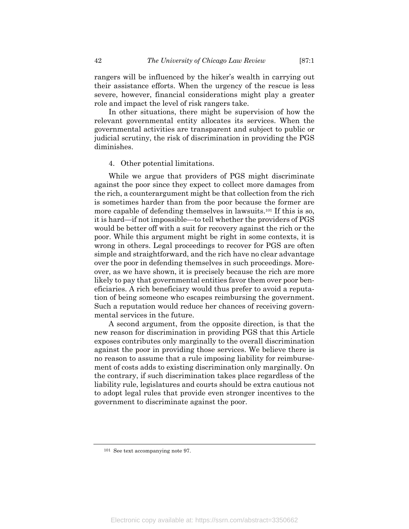rangers will be influenced by the hiker's wealth in carrying out their assistance efforts. When the urgency of the rescue is less severe, however, financial considerations might play a greater role and impact the level of risk rangers take.

In other situations, there might be supervision of how the relevant governmental entity allocates its services. When the governmental activities are transparent and subject to public or judicial scrutiny, the risk of discrimination in providing the PGS diminishes.

#### 4. Other potential limitations.

While we argue that providers of PGS might discriminate against the poor since they expect to collect more damages from the rich, a counterargument might be that collection from the rich is sometimes harder than from the poor because the former are more capable of defending themselves in lawsuits.101 If this is so, it is hard—if not impossible—to tell whether the providers of PGS would be better off with a suit for recovery against the rich or the poor. While this argument might be right in some contexts, it is wrong in others. Legal proceedings to recover for PGS are often simple and straightforward, and the rich have no clear advantage over the poor in defending themselves in such proceedings. Moreover, as we have shown, it is precisely because the rich are more likely to pay that governmental entities favor them over poor beneficiaries. A rich beneficiary would thus prefer to avoid a reputation of being someone who escapes reimbursing the government. Such a reputation would reduce her chances of receiving governmental services in the future.

A second argument, from the opposite direction, is that the new reason for discrimination in providing PGS that this Article exposes contributes only marginally to the overall discrimination against the poor in providing those services. We believe there is no reason to assume that a rule imposing liability for reimbursement of costs adds to existing discrimination only marginally. On the contrary, if such discrimination takes place regardless of the liability rule, legislatures and courts should be extra cautious not to adopt legal rules that provide even stronger incentives to the government to discriminate against the poor.

<sup>101</sup> See text accompanying note 97.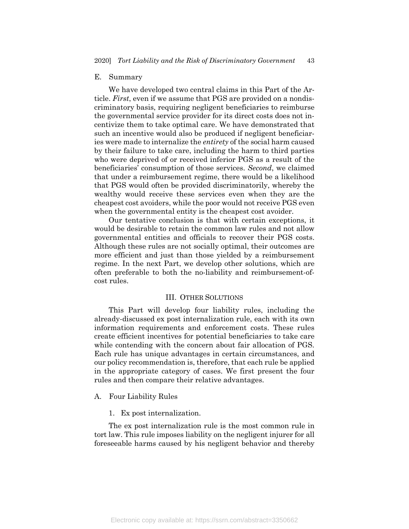#### E. Summary

We have developed two central claims in this Part of the Article. *First*, even if we assume that PGS are provided on a nondiscriminatory basis, requiring negligent beneficiaries to reimburse the governmental service provider for its direct costs does not incentivize them to take optimal care. We have demonstrated that such an incentive would also be produced if negligent beneficiaries were made to internalize the *entirety* of the social harm caused by their failure to take care, including the harm to third parties who were deprived of or received inferior PGS as a result of the beneficiaries' consumption of those services. *Second*, we claimed that under a reimbursement regime, there would be a likelihood that PGS would often be provided discriminatorily, whereby the wealthy would receive these services even when they are the cheapest cost avoiders, while the poor would not receive PGS even when the governmental entity is the cheapest cost avoider.

Our tentative conclusion is that with certain exceptions, it would be desirable to retain the common law rules and not allow governmental entities and officials to recover their PGS costs. Although these rules are not socially optimal, their outcomes are more efficient and just than those yielded by a reimbursement regime. In the next Part, we develop other solutions, which are often preferable to both the no-liability and reimbursement-ofcost rules.

#### III. OTHER SOLUTIONS

This Part will develop four liability rules, including the already-discussed ex post internalization rule, each with its own information requirements and enforcement costs. These rules create efficient incentives for potential beneficiaries to take care while contending with the concern about fair allocation of PGS. Each rule has unique advantages in certain circumstances, and our policy recommendation is, therefore, that each rule be applied in the appropriate category of cases. We first present the four rules and then compare their relative advantages.

#### A. Four Liability Rules

1. Ex post internalization.

The ex post internalization rule is the most common rule in tort law. This rule imposes liability on the negligent injurer for all foreseeable harms caused by his negligent behavior and thereby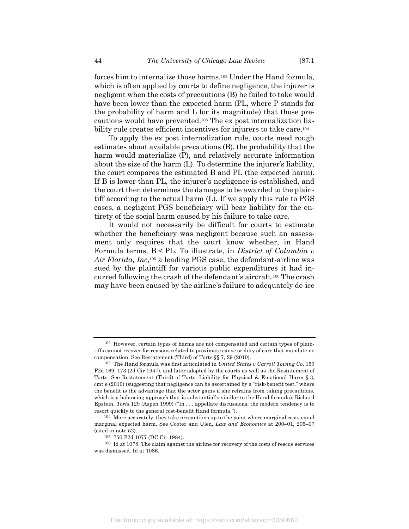forces him to internalize those harms.102 Under the Hand formula, which is often applied by courts to define negligence, the injurer is negligent when the costs of precautions (B) he failed to take would have been lower than the expected harm (PL, where P stands for the probability of harm and L for its magnitude) that those precautions would have prevented.103 The ex post internalization liability rule creates efficient incentives for injurers to take care.104

To apply the ex post internalization rule, courts need rough estimates about available precautions (B), the probability that the harm would materialize (P), and relatively accurate information about the size of the harm (L). To determine the injurer's liability, the court compares the estimated B and PL (the expected harm). If B is lower than PL, the injurer's negligence is established, and the court then determines the damages to be awarded to the plaintiff according to the actual harm (L). If we apply this rule to PGS cases, a negligent PGS beneficiary will bear liability for the entirety of the social harm caused by his failure to take care.

It would not necessarily be difficult for courts to estimate whether the beneficiary was negligent because such an assessment only requires that the court know whether, in Hand Formula terms, B < PL. To illustrate, in *District of Columbia v Air Florida, Inc*,105 a leading PGS case, the defendant-airline was sued by the plaintiff for various public expenditures it had incurred following the crash of the defendant's aircraft.106 The crash may have been caused by the airline's failure to adequately de-ice

<sup>102</sup> However, certain types of harms are not compensated and certain types of plaintiffs cannot recover for reasons related to proximate cause or duty of care that mandate no compensation. See Restatement (Third) of Torts §§ 7, 29 (2010).

<sup>103</sup> The Hand formula was first articulated in *United States v Carroll Towing Co*, 159 F2d 169, 173 (2d Cir 1947), and later adopted by the courts as well as the Restatement of Torts. See Restatement (Third) of Torts: Liability for Physical & Emotional Harm § 3, cmt e (2010) (suggesting that negligence can be ascertained by a "risk-benefit test," where the benefit is the advantage that the actor gains if she refrains from taking precautions, which is a balancing approach that is substantially similar to the Hand formula); Richard Epstein, *Torts* 129 (Aspen 1999) ("In . . . appellate discussions, the modern tendency is to resort quickly to the general cost-benefit Hand formula.").

<sup>104</sup> More accurately, they take precautions up to the point where marginal costs equal marginal expected harm. See Cooter and Ulen, *Law and Economics* at 200–01, 205–07 (cited in note 52).

<sup>105</sup> 750 F2d 1077 (DC Cir 1984).

<sup>106</sup> Id at 1078. The claim against the airline for recovery of the costs of rescue services was dismissed. Id at 1086.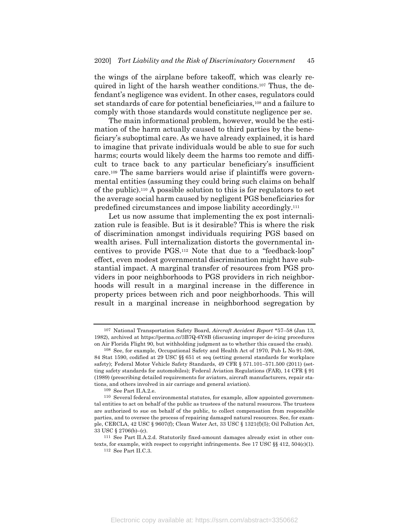the wings of the airplane before takeoff, which was clearly required in light of the harsh weather conditions.107 Thus, the defendant's negligence was evident. In other cases, regulators could set standards of care for potential beneficiaries,108 and a failure to comply with those standards would constitute negligence per se.

The main informational problem, however, would be the estimation of the harm actually caused to third parties by the beneficiary's suboptimal care. As we have already explained, it is hard to imagine that private individuals would be able to sue for such harms; courts would likely deem the harms too remote and difficult to trace back to any particular beneficiary's insufficient care.109 The same barriers would arise if plaintiffs were governmental entities (assuming they could bring such claims on behalf of the public).110 A possible solution to this is for regulators to set the average social harm caused by negligent PGS beneficiaries for predefined circumstances and impose liability accordingly.111

Let us now assume that implementing the ex post internalization rule is feasible. But is it desirable? This is where the risk of discrimination amongst individuals requiring PGS based on wealth arises. Full internalization distorts the governmental incentives to provide PGS.112 Note that due to a "feedback-loop" effect, even modest governmental discrimination might have substantial impact. A marginal transfer of resources from PGS providers in poor neighborhoods to PGS providers in rich neighborhoods will result in a marginal increase in the difference in property prices between rich and poor neighborhoods. This will result in a marginal increase in neighborhood segregation by

<sup>107</sup> National Transportation Safety Board, *Aircraft Accident Report* \*57–58 (Jan 13, 1982), archived at https://perma.cc/3B7Q-6Y8B (discussing improper de-icing procedures on Air Florida Flight 90, but withholding judgment as to whether this caused the crash).

<sup>108</sup> See, for example, Occupational Safety and Health Act of 1970, Pub L No 91-596, 84 Stat 1590, codified at 29 USC §§ 651 et seq (setting general standards for workplace safety); Federal Motor Vehicle Safety Standards, 49 CFR § 571.101–571.500 (2011) (setting safety standards for automobiles); Federal Aviation Regulations (FAR), 14 CFR § 91 (1989) (prescribing detailed requirements for aviators, aircraft manufacturers, repair stations, and others involved in air carriage and general aviation).

<sup>109</sup> See Part II.A.2.e.

<sup>110</sup> Several federal environmental statutes, for example, allow appointed governmental entities to act on behalf of the public as trustees of the natural resources. The trustees are authorized to sue on behalf of the public, to collect compensation from responsible parties, and to oversee the process of repairing damaged natural resources. See, for example, CERCLA, 42 USC § 9607(f); Clean Water Act, 33 USC § 1321(f)(5); Oil Pollution Act, 33 USC § 2706(b)–(c).

<sup>111</sup> See Part II.A.2.d. Statutorily fixed-amount damages already exist in other contexts, for example, with respect to copyright infringements. See 17 USC  $\S § 412$ ,  $504(c)(1)$ .

 $^{112}\,$  See Part II.C.3.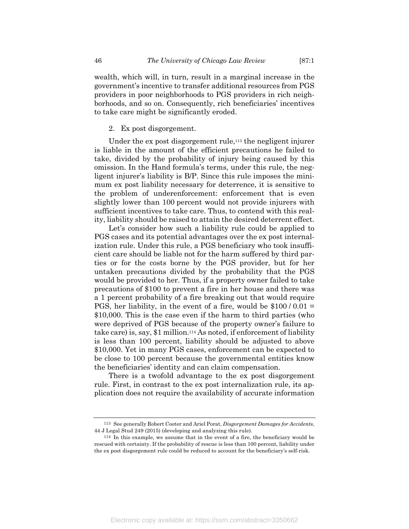wealth, which will, in turn, result in a marginal increase in the government's incentive to transfer additional resources from PGS providers in poor neighborhoods to PGS providers in rich neighborhoods, and so on. Consequently, rich beneficiaries' incentives to take care might be significantly eroded.

#### 2. Ex post disgorgement.

Under the ex post disgorgement rule,<sup>113</sup> the negligent injurer is liable in the amount of the efficient precautions he failed to take, divided by the probability of injury being caused by this omission. In the Hand formula's terms, under this rule, the negligent injurer's liability is B/P. Since this rule imposes the minimum ex post liability necessary for deterrence, it is sensitive to the problem of underenforcement: enforcement that is even slightly lower than 100 percent would not provide injurers with sufficient incentives to take care. Thus, to contend with this reality, liability should be raised to attain the desired deterrent effect.

Let's consider how such a liability rule could be applied to PGS cases and its potential advantages over the ex post internalization rule. Under this rule, a PGS beneficiary who took insufficient care should be liable not for the harm suffered by third parties or for the costs borne by the PGS provider, but for her untaken precautions divided by the probability that the PGS would be provided to her. Thus, if a property owner failed to take precautions of \$100 to prevent a fire in her house and there was a 1 percent probability of a fire breaking out that would require PGS, her liability, in the event of a fire, would be  $$100/0.01 =$ \$10,000. This is the case even if the harm to third parties (who were deprived of PGS because of the property owner's failure to take care) is, say, \$1 million.114 As noted, if enforcement of liability is less than 100 percent, liability should be adjusted to above \$10,000. Yet in many PGS cases, enforcement can be expected to be close to 100 percent because the governmental entities know the beneficiaries' identity and can claim compensation.

There is a twofold advantage to the ex post disgorgement rule. First, in contrast to the ex post internalization rule, its application does not require the availability of accurate information

<sup>113</sup> See generally Robert Cooter and Ariel Porat, *Disgorgement Damages for Accidents*, 44 J Legal Stud 249 (2015) (developing and analyzing this rule).

<sup>114</sup> In this example, we assume that in the event of a fire, the beneficiary would be rescued with certainty. If the probability of rescue is less than 100 percent, liability under the ex post disgorgement rule could be reduced to account for the beneficiary's self-risk.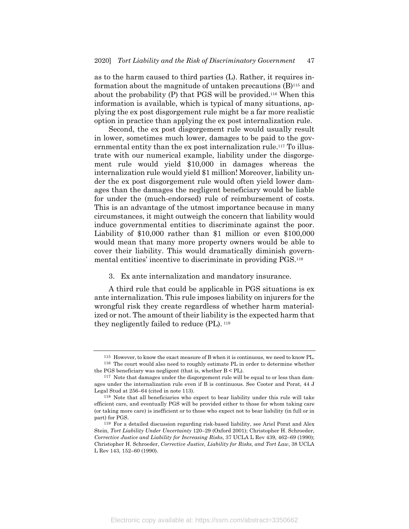as to the harm caused to third parties (L). Rather, it requires information about the magnitude of untaken precautions (B)115 and about the probability (P) that PGS will be provided.116 When this information is available, which is typical of many situations, applying the ex post disgorgement rule might be a far more realistic option in practice than applying the ex post internalization rule.

Second, the ex post disgorgement rule would usually result in lower, sometimes much lower, damages to be paid to the governmental entity than the ex post internalization rule.117 To illustrate with our numerical example, liability under the disgorgement rule would yield \$10,000 in damages whereas the internalization rule would yield \$1 million! Moreover, liability under the ex post disgorgement rule would often yield lower damages than the damages the negligent beneficiary would be liable for under the (much-endorsed) rule of reimbursement of costs. This is an advantage of the utmost importance because in many circumstances, it might outweigh the concern that liability would induce governmental entities to discriminate against the poor. Liability of \$10,000 rather than \$1 million or even \$100,000 would mean that many more property owners would be able to cover their liability. This would dramatically diminish governmental entities' incentive to discriminate in providing PGS.118

3. Ex ante internalization and mandatory insurance.

A third rule that could be applicable in PGS situations is ex ante internalization. This rule imposes liability on injurers for the wrongful risk they create regardless of whether harm materialized or not. The amount of their liability is the expected harm that they negligently failed to reduce (PL). <sup>119</sup>

<sup>115</sup> However, to know the exact measure of B when it is continuous, we need to know PL. 116 The court would also need to roughly estimate PL in order to determine whether

the PGS beneficiary was negligent (that is, whether B < PL).

<sup>117</sup> Note that damages under the disgorgement rule will be equal to or less than damages under the internalization rule even if B is continuous. See Cooter and Porat, 44 J Legal Stud at 256–64 (cited in note 113).

<sup>118</sup> Note that all beneficiaries who expect to bear liability under this rule will take efficient care, and eventually PGS will be provided either to those for whom taking care (or taking more care) is inefficient or to those who expect not to bear liability (in full or in part) for PGS.

<sup>119</sup> For a detailed discussion regarding risk-based liability, see Ariel Porat and Alex Stein, *Tort Liability Under Uncertainty* 120–29 (Oxford 2001); Christopher H. Schroeder, *Corrective Justice and Liability for Increasing Risks*, 37 UCLA L Rev 439, 462–69 (1990); Christopher H. Schroeder, *Corrective Justice, Liability for Risks, and Tort Law*, 38 UCLA L Rev 143, 152–60 (1990).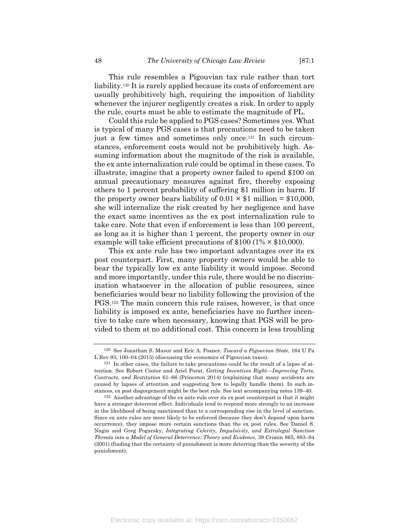This rule resembles a Pigouvian tax rule rather than tort liability.120 It is rarely applied because its costs of enforcement are usually prohibitively high, requiring the imposition of liability whenever the injurer negligently creates a risk. In order to apply the rule, courts must be able to estimate the magnitude of PL.

Could this rule be applied to PGS cases? Sometimes yes. What is typical of many PGS cases is that precautions need to be taken just a few times and sometimes only once.121 In such circumstances, enforcement costs would not be prohibitively high. Assuming information about the magnitude of the risk is available, the ex ante internalization rule could be optimal in these cases. To illustrate, imagine that a property owner failed to spend \$100 on annual precautionary measures against fire, thereby exposing others to 1 percent probability of suffering \$1 million in harm. If the property owner bears liability of  $0.01 \times $1$  million = \$10,000, she will internalize the risk created by her negligence and have the exact same incentives as the ex post internalization rule to take care. Note that even if enforcement is less than 100 percent, as long as it is higher than 1 percent, the property owner in our example will take efficient precautions of  $$100 (1% \times $10,000)$ .

This ex ante rule has two important advantages over its ex post counterpart. First, many property owners would be able to bear the typically low ex ante liability it would impose. Second and more importantly, under this rule, there would be no discrimination whatsoever in the allocation of public resources, since beneficiaries would bear no liability following the provision of the PGS.122 The main concern this rule raises, however, is that once liability is imposed ex ante, beneficiaries have no further incentive to take care when necessary, knowing that PGS will be provided to them at no additional cost. This concern is less troubling

<sup>120</sup> See Jonathan S. Masur and Eric A. Posner, *Toward a Pigouvian State*, 164 U Pa L Rev 93, 100–04 (2015) (discussing the economics of Pigouvian taxes).

<sup>121</sup> In other cases, the failure to take precautions could be the result of a lapse of attention. See Robert Cooter and Ariel Porat, *Getting Incentives Right—Improving Torts, Contracts, and Restitution* 61–66 (Princeton 2014) (explaining that many accidents are caused by lapses of attention and suggesting how to legally handle them). In such instances, ex post disgorgement might be the best rule. See text accompanying notes 139–40.

<sup>122</sup> Another advantage of the ex ante rule over its ex post counterpart is that it might have a stronger deterrent effect. Individuals tend to respond more strongly to an increase in the likelihood of being sanctioned than to a corresponding rise in the level of sanction. Since ex ante rules are more likely to be enforced (because they don't depend upon harm occurrence), they impose more certain sanctions than the ex post rules. See Daniel S. Nagin and Greg Pogarsky, *Integrating Celerity, Impulsivity, and Extralegal Sanction Threats into a Model of General Deterrence: Theory and Evidence*, 39 Crimin 865, 883–84 (2001) (finding that the certainty of punishment is more deterring than the severity of the punishment).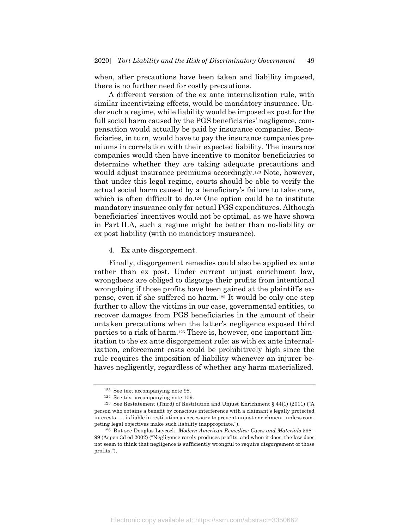when, after precautions have been taken and liability imposed, there is no further need for costly precautions.

A different version of the ex ante internalization rule, with similar incentivizing effects, would be mandatory insurance. Under such a regime, while liability would be imposed ex post for the full social harm caused by the PGS beneficiaries' negligence, compensation would actually be paid by insurance companies. Beneficiaries, in turn, would have to pay the insurance companies premiums in correlation with their expected liability. The insurance companies would then have incentive to monitor beneficiaries to determine whether they are taking adequate precautions and would adjust insurance premiums accordingly.<sup>123</sup> Note, however, that under this legal regime, courts should be able to verify the actual social harm caused by a beneficiary's failure to take care, which is often difficult to do.<sup>124</sup> One option could be to institute mandatory insurance only for actual PGS expenditures. Although beneficiaries' incentives would not be optimal, as we have shown in Part II.A, such a regime might be better than no-liability or ex post liability (with no mandatory insurance).

4. Ex ante disgorgement.

Finally, disgorgement remedies could also be applied ex ante rather than ex post. Under current unjust enrichment law, wrongdoers are obliged to disgorge their profits from intentional wrongdoing if those profits have been gained at the plaintiff's expense, even if she suffered no harm.125 It would be only one step further to allow the victims in our case, governmental entities, to recover damages from PGS beneficiaries in the amount of their untaken precautions when the latter's negligence exposed third parties to a risk of harm.126 There is, however, one important limitation to the ex ante disgorgement rule: as with ex ante internalization, enforcement costs could be prohibitively high since the rule requires the imposition of liability whenever an injurer behaves negligently, regardless of whether any harm materialized.

<sup>123</sup> See text accompanying note 98.

<sup>124</sup> See text accompanying note 109.

<sup>125</sup> See Restatement (Third) of Restitution and Unjust Enrichment § 44(1) (2011) ("A person who obtains a benefit by conscious interference with a claimant's legally protected interests . . . is liable in restitution as necessary to prevent unjust enrichment, unless competing legal objectives make such liability inappropriate.").

<sup>126</sup> But see Douglas Laycock, *Modern American Remedies: Cases and Materials* 598– 99 (Aspen 3d ed 2002) ("Negligence rarely produces profits, and when it does, the law does not seem to think that negligence is sufficiently wrongful to require disgorgement of those profits.").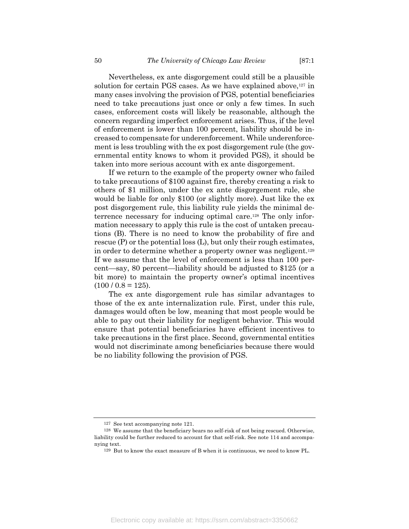Nevertheless, ex ante disgorgement could still be a plausible solution for certain PGS cases. As we have explained above,<sup>127</sup> in many cases involving the provision of PGS, potential beneficiaries need to take precautions just once or only a few times. In such cases, enforcement costs will likely be reasonable, although the concern regarding imperfect enforcement arises. Thus, if the level of enforcement is lower than 100 percent, liability should be increased to compensate for underenforcement. While underenforcement is less troubling with the ex post disgorgement rule (the governmental entity knows to whom it provided PGS), it should be taken into more serious account with ex ante disgorgement.

If we return to the example of the property owner who failed to take precautions of \$100 against fire, thereby creating a risk to others of \$1 million, under the ex ante disgorgement rule, she would be liable for only \$100 (or slightly more). Just like the ex post disgorgement rule, this liability rule yields the minimal deterrence necessary for inducing optimal care.128 The only information necessary to apply this rule is the cost of untaken precautions (B). There is no need to know the probability of fire and rescue (P) or the potential loss (L), but only their rough estimates, in order to determine whether a property owner was negligent.129 If we assume that the level of enforcement is less than 100 percent—say, 80 percent—liability should be adjusted to \$125 (or a bit more) to maintain the property owner's optimal incentives  $(100 / 0.8 = 125).$ 

The ex ante disgorgement rule has similar advantages to those of the ex ante internalization rule. First, under this rule, damages would often be low, meaning that most people would be able to pay out their liability for negligent behavior. This would ensure that potential beneficiaries have efficient incentives to take precautions in the first place. Second, governmental entities would not discriminate among beneficiaries because there would be no liability following the provision of PGS.

<sup>127</sup> See text accompanying note 121.

<sup>128</sup> We assume that the beneficiary bears no self-risk of not being rescued. Otherwise, liability could be further reduced to account for that self-risk. See note 114 and accompanying text.

<sup>129</sup> But to know the exact measure of B when it is continuous, we need to know PL.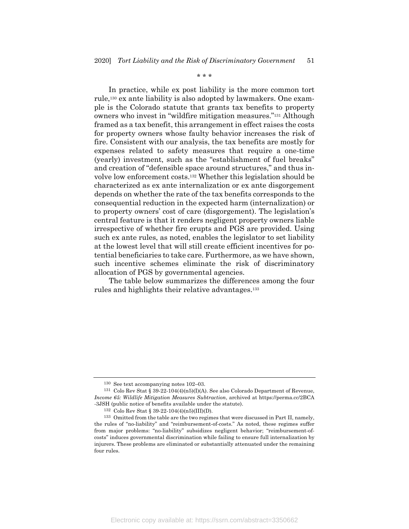\* \* \*

In practice, while ex post liability is the more common tort rule,130 ex ante liability is also adopted by lawmakers. One example is the Colorado statute that grants tax benefits to property owners who invest in "wildfire mitigation measures."131 Although framed as a tax benefit, this arrangement in effect raises the costs for property owners whose faulty behavior increases the risk of fire. Consistent with our analysis, the tax benefits are mostly for expenses related to safety measures that require a one-time (yearly) investment, such as the "establishment of fuel breaks" and creation of "defensible space around structures," and thus involve low enforcement costs.132 Whether this legislation should be characterized as ex ante internalization or ex ante disgorgement depends on whether the rate of the tax benefits corresponds to the consequential reduction in the expected harm (internalization) or to property owners' cost of care (disgorgement). The legislation's central feature is that it renders negligent property owners liable irrespective of whether fire erupts and PGS are provided. Using such ex ante rules, as noted, enables the legislator to set liability at the lowest level that will still create efficient incentives for potential beneficiaries to take care. Furthermore, as we have shown, such incentive schemes eliminate the risk of discriminatory allocation of PGS by governmental agencies.

The table below summarizes the differences among the four rules and highlights their relative advantages.133

Electronic copy available at: https://ssrn.com/abstract=3350662

<sup>130</sup> See text accompanying notes 102–03.

<sup>131</sup> Colo Rev Stat § 39-22-104(4)(n5)(I)(A). See also Colorado Department of Revenue, *Income 65: Wildlife Mitigation Measures Subtraction*, archived at https://perma.cc/2BCA -3JSH (public notice of benefits available under the statute).

<sup>132</sup> Colo Rev Stat § 39-22-104(4)(n5)(III)(D).

<sup>133</sup> Omitted from the table are the two regimes that were discussed in Part II, namely, the rules of "no-liability" and "reimbursement-of-costs." As noted, these regimes suffer from major problems: "no-liability" subsidizes negligent behavior; "reimbursement-ofcosts" induces governmental discrimination while failing to ensure full internalization by injurers. These problems are eliminated or substantially attenuated under the remaining four rules.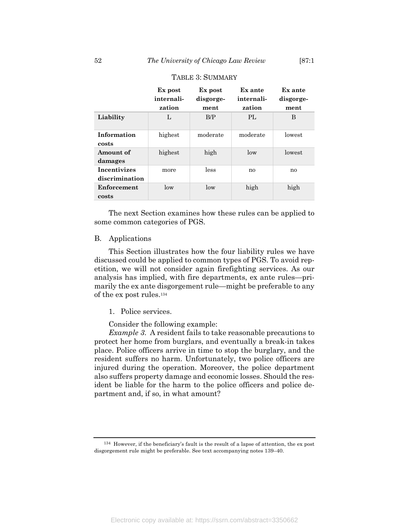|                                       | Ex post<br>internali-<br>zation | Ex post<br>disgorge-<br>ment | Ex ante<br>internali-<br>zation | Ex ante<br>disgorge-<br>ment |
|---------------------------------------|---------------------------------|------------------------------|---------------------------------|------------------------------|
| Liability                             | L                               | B/P                          | $\mathbf{PI}$                   | B                            |
| Information<br>costs                  | highest                         | moderate                     | moderate                        | lowest                       |
| Amount of<br>damages                  | highest                         | high                         | $\log$                          | lowest                       |
| <b>Incentivizes</b><br>discrimination | more                            | less                         | no                              | no                           |
| Enforcement<br>costs                  | $\log$                          | low                          | high                            | high                         |

## TABLE 3: SUMMARY

The next Section examines how these rules can be applied to some common categories of PGS.

#### B. Applications

This Section illustrates how the four liability rules we have discussed could be applied to common types of PGS. To avoid repetition, we will not consider again firefighting services. As our analysis has implied, with fire departments, ex ante rules—primarily the ex ante disgorgement rule—might be preferable to any of the ex post rules.134

#### 1. Police services.

Consider the following example:

*Example 3*. A resident fails to take reasonable precautions to protect her home from burglars, and eventually a break-in takes place. Police officers arrive in time to stop the burglary, and the resident suffers no harm. Unfortunately, two police officers are injured during the operation. Moreover, the police department also suffers property damage and economic losses. Should the resident be liable for the harm to the police officers and police department and, if so, in what amount?

<sup>134</sup> However, if the beneficiary's fault is the result of a lapse of attention, the ex post disgorgement rule might be preferable. See text accompanying notes 139–40.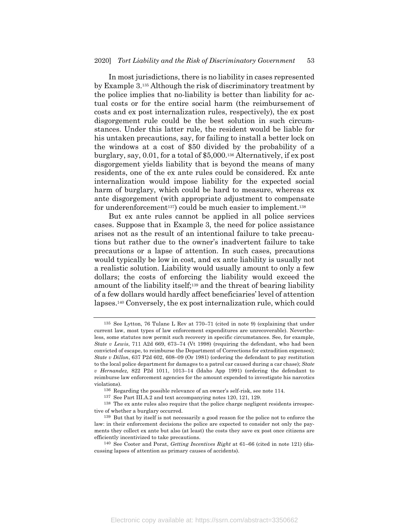In most jurisdictions, there is no liability in cases represented by Example 3.135 Although the risk of discriminatory treatment by the police implies that no-liability is better than liability for actual costs or for the entire social harm (the reimbursement of costs and ex post internalization rules, respectively), the ex post disgorgement rule could be the best solution in such circumstances. Under this latter rule, the resident would be liable for his untaken precautions, say, for failing to install a better lock on the windows at a cost of \$50 divided by the probability of a burglary, say, 0.01, for a total of \$5,000.136 Alternatively, if ex post disgorgement yields liability that is beyond the means of many residents, one of the ex ante rules could be considered. Ex ante internalization would impose liability for the expected social harm of burglary, which could be hard to measure, whereas ex ante disgorgement (with appropriate adjustment to compensate for underenforcement<sup>137</sup>) could be much easier to implement.<sup>138</sup>

But ex ante rules cannot be applied in all police services cases. Suppose that in Example 3, the need for police assistance arises not as the result of an intentional failure to take precautions but rather due to the owner's inadvertent failure to take precautions or a lapse of attention. In such cases, precautions would typically be low in cost, and ex ante liability is usually not a realistic solution. Liability would usually amount to only a few dollars; the costs of enforcing the liability would exceed the amount of the liability itself;139 and the threat of bearing liability of a few dollars would hardly affect beneficiaries' level of attention lapses.140 Conversely, the ex post internalization rule, which could

<sup>135</sup> See Lytton, 76 Tulane L Rev at 770–71 (cited in note 9) (explaining that under current law, most types of law enforcement expenditures are unrecoverable). Nevertheless, some statutes now permit such recovery in specific circumstances. See, for example, *State v Lewis*, 711 A2d 669, 673–74 (Vt 1998) (requiring the defendant, who had been convicted of escape, to reimburse the Department of Corrections for extradition expenses); *State v Dillon*, 637 P2d 602, 608–09 (Or 1981) (ordering the defendant to pay restitution to the local police department for damages to a patrol car caused during a car chase); *State v Hernandez,* 822 P2d 1011, 1013–14 (Idaho App 1991) (ordering the defendant to reimburse law enforcement agencies for the amount expended to investigate his narcotics violations).

<sup>136</sup> Regarding the possible relevance of an owner's self-risk, see note 114.

<sup>137</sup> See Part III.A.2 and text accompanying notes 120, 121, 129.

<sup>138</sup> The ex ante rules also require that the police charge negligent residents irrespective of whether a burglary occurred.

<sup>139</sup> But that by itself is not necessarily a good reason for the police not to enforce the law: in their enforcement decisions the police are expected to consider not only the payments they collect ex ante but also (at least) the costs they save ex post once citizens are efficiently incentivized to take precautions.

<sup>140</sup> See Cooter and Porat, *Getting Incentives Right* at 61–66 (cited in note 121) (discussing lapses of attention as primary causes of accidents).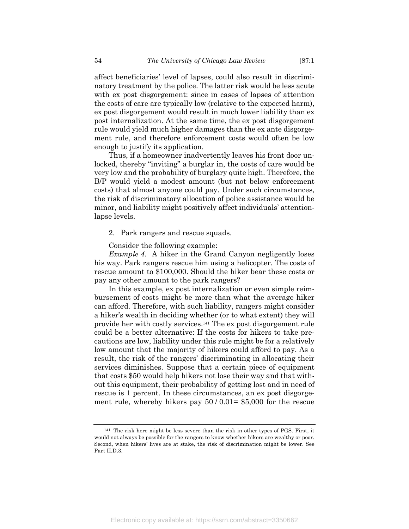affect beneficiaries' level of lapses, could also result in discriminatory treatment by the police. The latter risk would be less acute with ex post disgorgement: since in cases of lapses of attention the costs of care are typically low (relative to the expected harm), ex post disgorgement would result in much lower liability than ex post internalization. At the same time, the ex post disgorgement rule would yield much higher damages than the ex ante disgorgement rule, and therefore enforcement costs would often be low enough to justify its application.

Thus, if a homeowner inadvertently leaves his front door unlocked, thereby "inviting" a burglar in, the costs of care would be very low and the probability of burglary quite high. Therefore, the B/P would yield a modest amount (but not below enforcement costs) that almost anyone could pay. Under such circumstances, the risk of discriminatory allocation of police assistance would be minor, and liability might positively affect individuals' attentionlapse levels.

2. Park rangers and rescue squads.

Consider the following example:

*Example 4*. A hiker in the Grand Canyon negligently loses his way. Park rangers rescue him using a helicopter. The costs of rescue amount to \$100,000. Should the hiker bear these costs or pay any other amount to the park rangers?

In this example, ex post internalization or even simple reimbursement of costs might be more than what the average hiker can afford. Therefore, with such liability, rangers might consider a hiker's wealth in deciding whether (or to what extent) they will provide her with costly services.141 The ex post disgorgement rule could be a better alternative: If the costs for hikers to take precautions are low, liability under this rule might be for a relatively low amount that the majority of hikers could afford to pay. As a result, the risk of the rangers' discriminating in allocating their services diminishes. Suppose that a certain piece of equipment that costs \$50 would help hikers not lose their way and that without this equipment, their probability of getting lost and in need of rescue is 1 percent. In these circumstances, an ex post disgorgement rule, whereby hikers pay  $50/0.01=$  \$5,000 for the rescue

<sup>141</sup> The risk here might be less severe than the risk in other types of PGS. First, it would not always be possible for the rangers to know whether hikers are wealthy or poor. Second, when hikers' lives are at stake, the risk of discrimination might be lower. See Part II.D.3.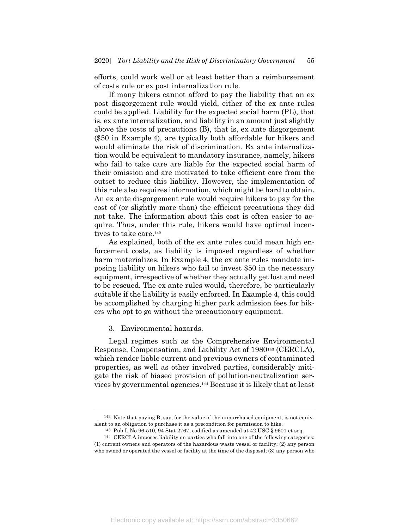efforts, could work well or at least better than a reimbursement of costs rule or ex post internalization rule.

If many hikers cannot afford to pay the liability that an ex post disgorgement rule would yield, either of the ex ante rules could be applied. Liability for the expected social harm (PL), that is, ex ante internalization, and liability in an amount just slightly above the costs of precautions (B), that is, ex ante disgorgement (\$50 in Example 4), are typically both affordable for hikers and would eliminate the risk of discrimination. Ex ante internalization would be equivalent to mandatory insurance, namely, hikers who fail to take care are liable for the expected social harm of their omission and are motivated to take efficient care from the outset to reduce this liability. However, the implementation of this rule also requires information, which might be hard to obtain. An ex ante disgorgement rule would require hikers to pay for the cost of (or slightly more than) the efficient precautions they did not take. The information about this cost is often easier to acquire. Thus, under this rule, hikers would have optimal incentives to take care.142

As explained, both of the ex ante rules could mean high enforcement costs, as liability is imposed regardless of whether harm materializes. In Example 4, the ex ante rules mandate imposing liability on hikers who fail to invest \$50 in the necessary equipment, irrespective of whether they actually get lost and need to be rescued. The ex ante rules would, therefore, be particularly suitable if the liability is easily enforced. In Example 4, this could be accomplished by charging higher park admission fees for hikers who opt to go without the precautionary equipment.

3. Environmental hazards.

Legal regimes such as the Comprehensive Environmental Response, Compensation, and Liability Act of 1980143 (CERCLA), which render liable current and previous owners of contaminated properties, as well as other involved parties, considerably mitigate the risk of biased provision of pollution-neutralization services by governmental agencies.144 Because it is likely that at least

<sup>142</sup> Note that paying B, say, for the value of the unpurchased equipment, is not equivalent to an obligation to purchase it as a precondition for permission to hike.

<sup>143</sup> Pub L No 96-510, 94 Stat 2767, codified as amended at 42 USC § 9601 et seq.

<sup>144</sup> CERCLA imposes liability on parties who fall into one of the following categories:

<sup>(1)</sup> current owners and operators of the hazardous waste vessel or facility; (2) any person who owned or operated the vessel or facility at the time of the disposal; (3) any person who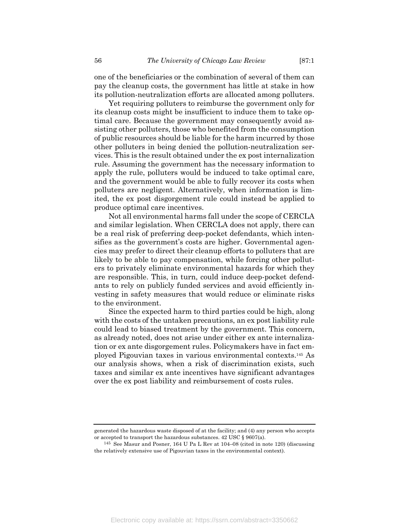one of the beneficiaries or the combination of several of them can pay the cleanup costs, the government has little at stake in how its pollution-neutralization efforts are allocated among polluters.

Yet requiring polluters to reimburse the government only for its cleanup costs might be insufficient to induce them to take optimal care. Because the government may consequently avoid assisting other polluters, those who benefited from the consumption of public resources should be liable for the harm incurred by those other polluters in being denied the pollution-neutralization services. This is the result obtained under the ex post internalization rule. Assuming the government has the necessary information to apply the rule, polluters would be induced to take optimal care, and the government would be able to fully recover its costs when polluters are negligent. Alternatively, when information is limited, the ex post disgorgement rule could instead be applied to produce optimal care incentives.

Not all environmental harms fall under the scope of CERCLA and similar legislation. When CERCLA does not apply, there can be a real risk of preferring deep-pocket defendants, which intensifies as the government's costs are higher. Governmental agencies may prefer to direct their cleanup efforts to polluters that are likely to be able to pay compensation, while forcing other polluters to privately eliminate environmental hazards for which they are responsible. This, in turn, could induce deep-pocket defendants to rely on publicly funded services and avoid efficiently investing in safety measures that would reduce or eliminate risks to the environment.

Since the expected harm to third parties could be high, along with the costs of the untaken precautions, an expost liability rule could lead to biased treatment by the government. This concern, as already noted, does not arise under either ex ante internalization or ex ante disgorgement rules. Policymakers have in fact employed Pigouvian taxes in various environmental contexts.145 As our analysis shows, when a risk of discrimination exists, such taxes and similar ex ante incentives have significant advantages over the ex post liability and reimbursement of costs rules.

generated the hazardous waste disposed of at the facility; and (4) any person who accepts or accepted to transport the hazardous substances. 42 USC § 9607(a).

<sup>145</sup> See Masur and Posner, 164 U Pa L Rev at 104–08 (cited in note 120) (discussing the relatively extensive use of Pigouvian taxes in the environmental context).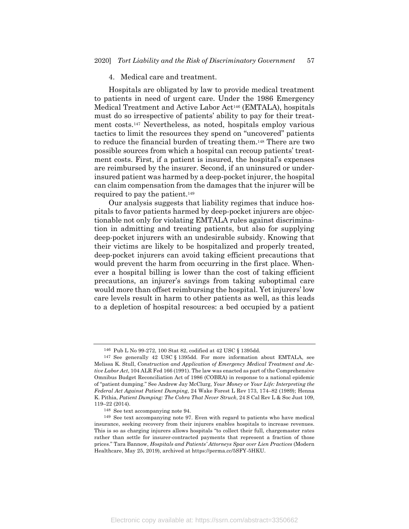#### 4. Medical care and treatment.

Hospitals are obligated by law to provide medical treatment to patients in need of urgent care. Under the 1986 Emergency Medical Treatment and Active Labor Act146 (EMTALA), hospitals must do so irrespective of patients' ability to pay for their treatment costs.147 Nevertheless, as noted, hospitals employ various tactics to limit the resources they spend on "uncovered" patients to reduce the financial burden of treating them.148 There are two possible sources from which a hospital can recoup patients' treatment costs. First, if a patient is insured, the hospital's expenses are reimbursed by the insurer. Second, if an uninsured or underinsured patient was harmed by a deep-pocket injurer, the hospital can claim compensation from the damages that the injurer will be required to pay the patient.149

Our analysis suggests that liability regimes that induce hospitals to favor patients harmed by deep-pocket injurers are objectionable not only for violating EMTALA rules against discrimination in admitting and treating patients, but also for supplying deep-pocket injurers with an undesirable subsidy. Knowing that their victims are likely to be hospitalized and properly treated, deep-pocket injurers can avoid taking efficient precautions that would prevent the harm from occurring in the first place. Whenever a hospital billing is lower than the cost of taking efficient precautions, an injurer's savings from taking suboptimal care would more than offset reimbursing the hospital. Yet injurers' low care levels result in harm to other patients as well, as this leads to a depletion of hospital resources: a bed occupied by a patient

<sup>146</sup> Pub L No 99-272, 100 Stat 82, codified at 42 USC § 1395dd.

<sup>147</sup> See generally 42 USC § 1395dd. For more information about EMTALA, see Melissa K. Stull, *Construction and Application of Emergency Medical Treatment and Active Labor Act*, 104 ALR Fed 166 (1991). The law was enacted as part of the Comprehensive Omnibus Budget Reconciliation Act of 1986 (COBRA) in response to a national epidemic of "patient dumping." See Andrew Jay McClurg, *Your Money or Your Life: Interpreting the Federal Act Against Patient Dumping*, 24 Wake Forest L Rev 173, 174–82 (1989); Henna K. Pithia, *Patient Dumping: The Cobra That Never Struck*, 24 S Cal Rev L & Soc Just 109, 119–22 (2014).

<sup>148</sup> See text accompanying note 94.

<sup>149</sup> See text accompanying note 97. Even with regard to patients who have medical insurance, seeking recovery from their injurers enables hospitals to increase revenues. This is so as charging injurers allows hospitals "to collect their full, chargemaster rates rather than settle for insurer-contracted payments that represent a fraction of those prices." Tara Bannow, *Hospitals and Patients' Attorneys Spar over Lien Practices* (Modern Healthcare, May 25, 2019), archived at https://perma.cc/5SFY-5HKU.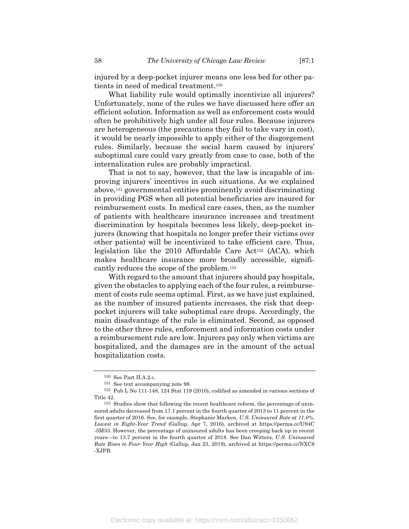injured by a deep-pocket injurer means one less bed for other patients in need of medical treatment.150

What liability rule would optimally incentivize all injurers? Unfortunately, none of the rules we have discussed here offer an efficient solution. Information as well as enforcement costs would often be prohibitively high under all four rules. Because injurers are heterogeneous (the precautions they fail to take vary in cost), it would be nearly impossible to apply either of the disgorgement rules. Similarly, because the social harm caused by injurers' suboptimal care could vary greatly from case to case, both of the internalization rules are probably impractical.

That is not to say, however, that the law is incapable of improving injurers' incentives in such situations. As we explained above,151 governmental entities prominently avoid discriminating in providing PGS when all potential beneficiaries are insured for reimbursement costs. In medical care cases, then, as the number of patients with healthcare insurance increases and treatment discrimination by hospitals becomes less likely, deep-pocket injurers (knowing that hospitals no longer prefer their victims over other patients) will be incentivized to take efficient care. Thus, legislation like the 2010 Affordable Care Act152 (ACA), which makes healthcare insurance more broadly accessible, significantly reduces the scope of the problem.153

With regard to the amount that injurers should pay hospitals, given the obstacles to applying each of the four rules, a reimbursement of costs rule seems optimal. First, as we have just explained, as the number of insured patients increases, the risk that deeppocket injurers will take suboptimal care drops. Accordingly, the main disadvantage of the rule is eliminated. Second, as opposed to the other three rules, enforcement and information costs under a reimbursement rule are low. Injurers pay only when victims are hospitalized, and the damages are in the amount of the actual hospitalization costs.

<sup>150</sup> See Part II.A.2.c.

<sup>151</sup> See text accompanying note 98.

<sup>152</sup> Pub L No 111-148, 124 Stat 119 (2010), codified as amended in various sections of Title 42.

<sup>153</sup> Studies show that following the recent healthcare reform, the percentage of uninsured adults decreased from 17.1 percent in the fourth quarter of 2013 to 11 percent in the first quarter of 2016. See, for example, Stephanie Marken, *U.S. Uninsured Rate at 11.0%, Lowest in Eight-Year Trend* (Gallup, Apr 7, 2016), archived at https://perma.cc/U94C -5M33. However, the percentage of uninsured adults has been creeping back up in recent years—to 13.7 percent in the fourth quarter of 2018. See Dan Witters, *U.S. Uninsured Rate Rises to Four-Year High* (Gallup, Jan 23, 2019), archived at https://perma.cc/NXC8 -XJPB.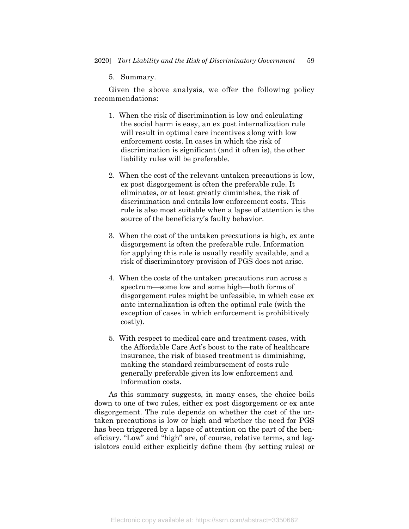5. Summary.

Given the above analysis, we offer the following policy recommendations:

- 1. When the risk of discrimination is low and calculating the social harm is easy, an ex post internalization rule will result in optimal care incentives along with low enforcement costs. In cases in which the risk of discrimination is significant (and it often is), the other liability rules will be preferable.
- 2. When the cost of the relevant untaken precautions is low, ex post disgorgement is often the preferable rule. It eliminates, or at least greatly diminishes, the risk of discrimination and entails low enforcement costs. This rule is also most suitable when a lapse of attention is the source of the beneficiary's faulty behavior.
- 3. When the cost of the untaken precautions is high, ex ante disgorgement is often the preferable rule. Information for applying this rule is usually readily available, and a risk of discriminatory provision of PGS does not arise.
- 4. When the costs of the untaken precautions run across a spectrum—some low and some high—both forms of disgorgement rules might be unfeasible, in which case ex ante internalization is often the optimal rule (with the exception of cases in which enforcement is prohibitively costly).
- 5. With respect to medical care and treatment cases, with the Affordable Care Act's boost to the rate of healthcare insurance, the risk of biased treatment is diminishing, making the standard reimbursement of costs rule generally preferable given its low enforcement and information costs.

As this summary suggests, in many cases, the choice boils down to one of two rules, either ex post disgorgement or ex ante disgorgement. The rule depends on whether the cost of the untaken precautions is low or high and whether the need for PGS has been triggered by a lapse of attention on the part of the beneficiary. "Low" and "high" are, of course, relative terms, and legislators could either explicitly define them (by setting rules) or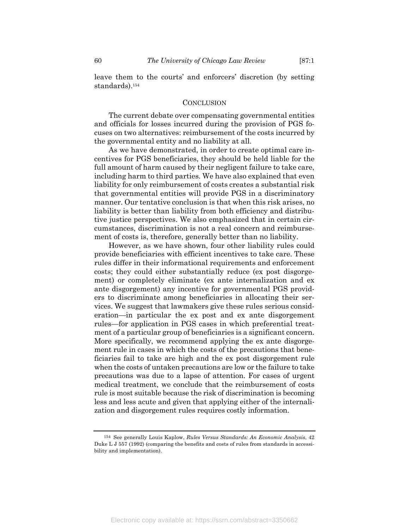leave them to the courts' and enforcers' discretion (by setting standards).154

#### **CONCLUSION**

The current debate over compensating governmental entities and officials for losses incurred during the provision of PGS focuses on two alternatives: reimbursement of the costs incurred by the governmental entity and no liability at all.

As we have demonstrated, in order to create optimal care incentives for PGS beneficiaries, they should be held liable for the full amount of harm caused by their negligent failure to take care, including harm to third parties. We have also explained that even liability for only reimbursement of costs creates a substantial risk that governmental entities will provide PGS in a discriminatory manner. Our tentative conclusion is that when this risk arises, no liability is better than liability from both efficiency and distributive justice perspectives. We also emphasized that in certain circumstances, discrimination is not a real concern and reimbursement of costs is, therefore, generally better than no liability.

However, as we have shown, four other liability rules could provide beneficiaries with efficient incentives to take care. These rules differ in their informational requirements and enforcement costs; they could either substantially reduce (ex post disgorgement) or completely eliminate (ex ante internalization and ex ante disgorgement) any incentive for governmental PGS providers to discriminate among beneficiaries in allocating their services. We suggest that lawmakers give these rules serious consideration—in particular the ex post and ex ante disgorgement rules—for application in PGS cases in which preferential treatment of a particular group of beneficiaries is a significant concern. More specifically, we recommend applying the ex ante disgorgement rule in cases in which the costs of the precautions that beneficiaries fail to take are high and the ex post disgorgement rule when the costs of untaken precautions are low or the failure to take precautions was due to a lapse of attention. For cases of urgent medical treatment, we conclude that the reimbursement of costs rule is most suitable because the risk of discrimination is becoming less and less acute and given that applying either of the internalization and disgorgement rules requires costly information.

<sup>154</sup> See generally Louis Kaplow, *Rules Versus Standards: An Economic Analysis*, 42 Duke L J 557 (1992) (comparing the benefits and costs of rules from standards in accessibility and implementation).